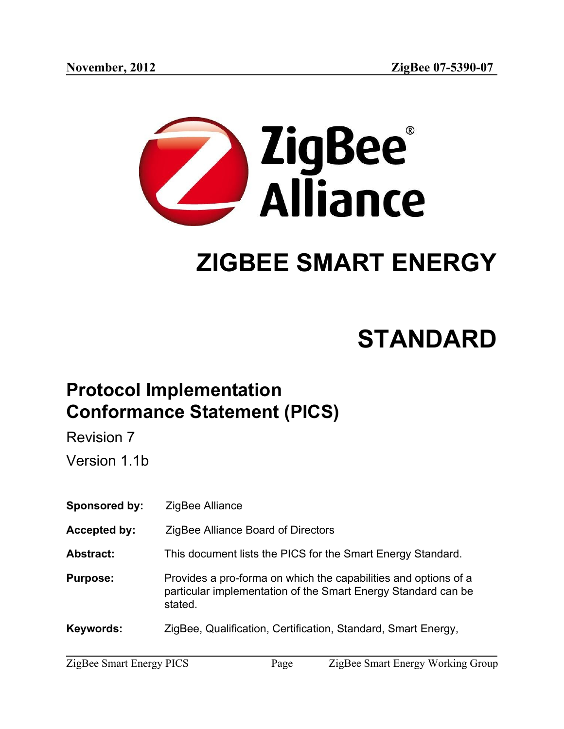

# **ZIGBEE SMART ENERGY**

# **STANDARD**

# **Protocol Implementation Conformance Statement (PICS)**

Revision 7

Version 1.1b

**Sponsored by:** ZigBee Alliance

**Accepted by:** ZigBee Alliance Board of Directors

**Abstract:** This document lists the PICS for the Smart Energy Standard.

**Purpose:** Provides a pro-forma on which the capabilities and options of a particular implementation of the Smart Energy Standard can be stated.

**Keywords:** ZigBee, Qualification, Certification, Standard, Smart Energy,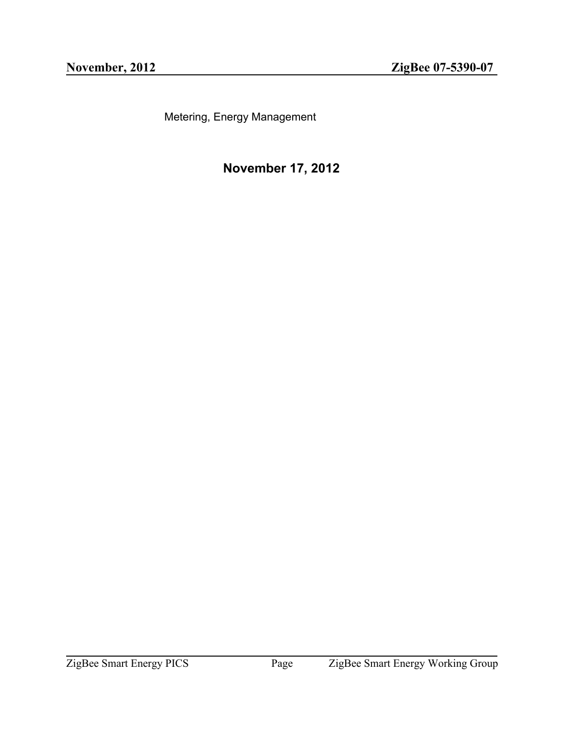Metering, Energy Management

**November 17, 2012**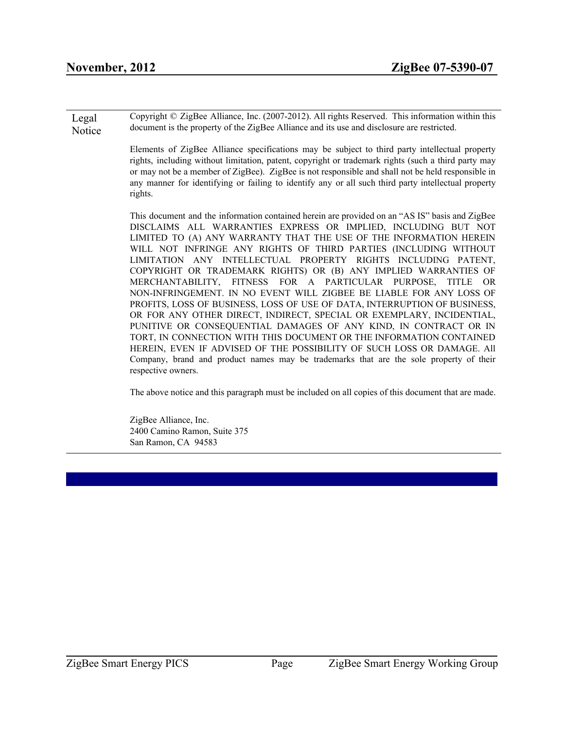Legal **Notice** Copyright © ZigBee Alliance, Inc. (2007-2012). All rights Reserved. This information within this document is the property of the ZigBee Alliance and its use and disclosure are restricted.

> Elements of ZigBee Alliance specifications may be subject to third party intellectual property rights, including without limitation, patent, copyright or trademark rights (such a third party may or may not be a member of ZigBee). ZigBee is not responsible and shall not be held responsible in any manner for identifying or failing to identify any or all such third party intellectual property rights.

> This document and the information contained herein are provided on an "AS IS" basis and ZigBee DISCLAIMS ALL WARRANTIES EXPRESS OR IMPLIED, INCLUDING BUT NOT LIMITED TO (A) ANY WARRANTY THAT THE USE OF THE INFORMATION HEREIN WILL NOT INFRINGE ANY RIGHTS OF THIRD PARTIES (INCLUDING WITHOUT LIMITATION ANY INTELLECTUAL PROPERTY RIGHTS INCLUDING PATENT, COPYRIGHT OR TRADEMARK RIGHTS) OR (B) ANY IMPLIED WARRANTIES OF MERCHANTABILITY, FITNESS FOR A PARTICULAR PURPOSE, TITLE OR NON-INFRINGEMENT. IN NO EVENT WILL ZIGBEE BE LIABLE FOR ANY LOSS OF PROFITS, LOSS OF BUSINESS, LOSS OF USE OF DATA, INTERRUPTION OF BUSINESS, OR FOR ANY OTHER DIRECT, INDIRECT, SPECIAL OR EXEMPLARY, INCIDENTIAL, PUNITIVE OR CONSEQUENTIAL DAMAGES OF ANY KIND, IN CONTRACT OR IN TORT, IN CONNECTION WITH THIS DOCUMENT OR THE INFORMATION CONTAINED HEREIN, EVEN IF ADVISED OF THE POSSIBILITY OF SUCH LOSS OR DAMAGE. All Company, brand and product names may be trademarks that are the sole property of their respective owners.

> The above notice and this paragraph must be included on all copies of this document that are made.

<span id="page-2-0"></span>ZigBee Alliance, Inc. 2400 Camino Ramon, Suite 375 San Ramon, CA 94583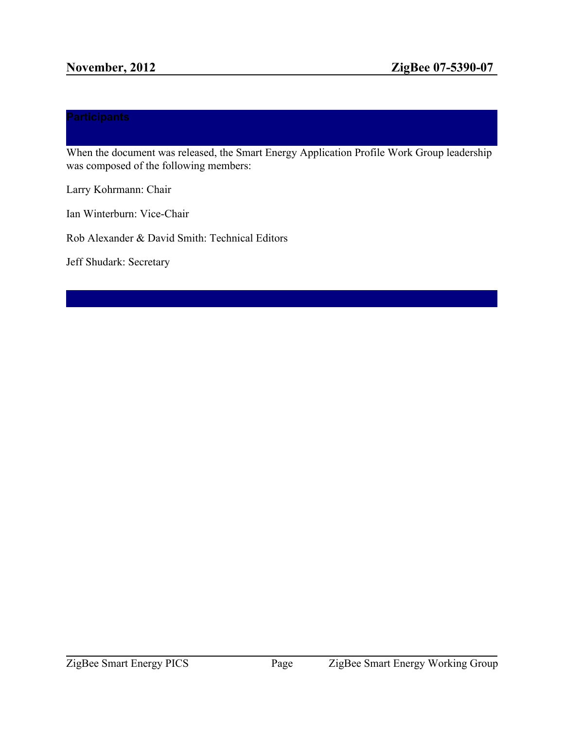When the document was released, the Smart Energy Application Profile Work Group leadership was composed of the following members:

Larry Kohrmann: Chair

Ian Winterburn: Vice-Chair

Rob Alexander & David Smith: Technical Editors

<span id="page-3-0"></span>Jeff Shudark: Secretary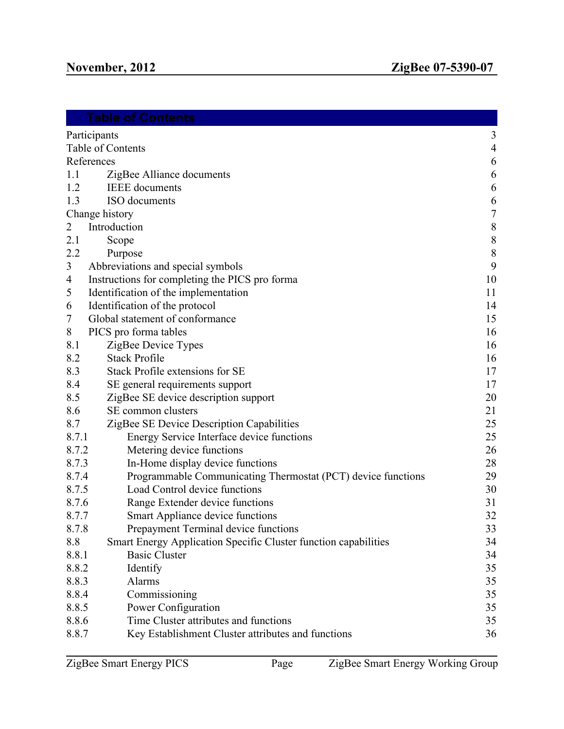| Table of Contents                                                      |                  |
|------------------------------------------------------------------------|------------------|
| Participants                                                           | 3                |
| Table of Contents                                                      | $\overline{4}$   |
| References                                                             | 6                |
| 1.1<br>ZigBee Alliance documents                                       | $\boldsymbol{6}$ |
| 1.2<br><b>IEEE</b> documents                                           | 6                |
| 1.3<br>ISO documents                                                   | 6                |
| Change history                                                         | $\sqrt{ }$       |
| Introduction<br>2                                                      | 8                |
| 2.1<br>Scope                                                           | 8                |
| 2.2<br>Purpose                                                         | $8\phantom{.}$   |
| 3<br>Abbreviations and special symbols                                 | 9                |
| Instructions for completing the PICS pro forma<br>4                    | 10               |
| Identification of the implementation<br>5                              | 11               |
| Identification of the protocol<br>6                                    | 14               |
| Global statement of conformance<br>7                                   | 15               |
| 8<br>PICS pro forma tables                                             | 16               |
| 8.1<br>ZigBee Device Types                                             | 16               |
| <b>Stack Profile</b><br>8.2                                            | 16               |
| 8.3<br>Stack Profile extensions for SE                                 | 17               |
| 8.4<br>SE general requirements support                                 | 17               |
| 8.5<br>ZigBee SE device description support                            | 20               |
| 8.6<br>SE common clusters                                              | 21               |
| 8.7<br>ZigBee SE Device Description Capabilities                       | 25               |
| 8.7.1<br>Energy Service Interface device functions                     | 25               |
| 8.7.2<br>Metering device functions                                     | 26               |
| 8.7.3<br>In-Home display device functions                              | 28               |
| 8.7.4<br>Programmable Communicating Thermostat (PCT) device functions  | 29               |
| 8.7.5<br>Load Control device functions                                 | 30               |
| 8.7.6<br>Range Extender device functions                               | 31               |
| 8.7.7<br>Smart Appliance device functions                              | 32               |
| 8.7.8<br>Prepayment Terminal device functions                          | 33               |
| 8.8<br>Smart Energy Application Specific Cluster function capabilities | 34               |
| 8.8.1<br><b>Basic Cluster</b>                                          | 34               |
| 8.8.2<br>Identify                                                      | 35               |
| 8.8.3<br>Alarms                                                        | 35               |
| 8.8.4<br>Commissioning                                                 | 35               |
| 8.8.5<br>Power Configuration                                           | 35               |
| 8.8.6<br>Time Cluster attributes and functions                         | 35               |
| 8.8.7<br>Key Establishment Cluster attributes and functions            | 36               |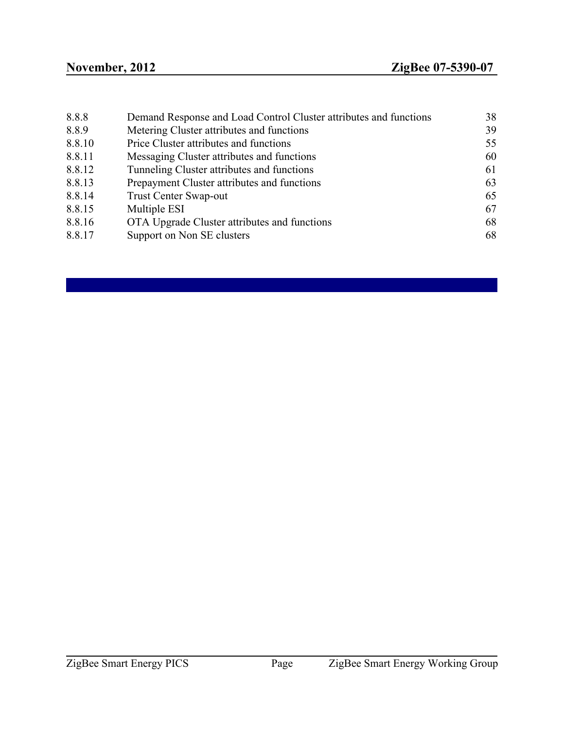<span id="page-5-0"></span>

| Demand Response and Load Control Cluster attributes and functions | 38 |
|-------------------------------------------------------------------|----|
| Metering Cluster attributes and functions                         | 39 |
| Price Cluster attributes and functions                            | 55 |
| Messaging Cluster attributes and functions                        | 60 |
| Tunneling Cluster attributes and functions                        | 61 |
| Prepayment Cluster attributes and functions                       | 63 |
| <b>Trust Center Swap-out</b>                                      | 65 |
| Multiple ESI                                                      | 67 |
| OTA Upgrade Cluster attributes and functions                      | 68 |
| Support on Non SE clusters                                        | 68 |
|                                                                   |    |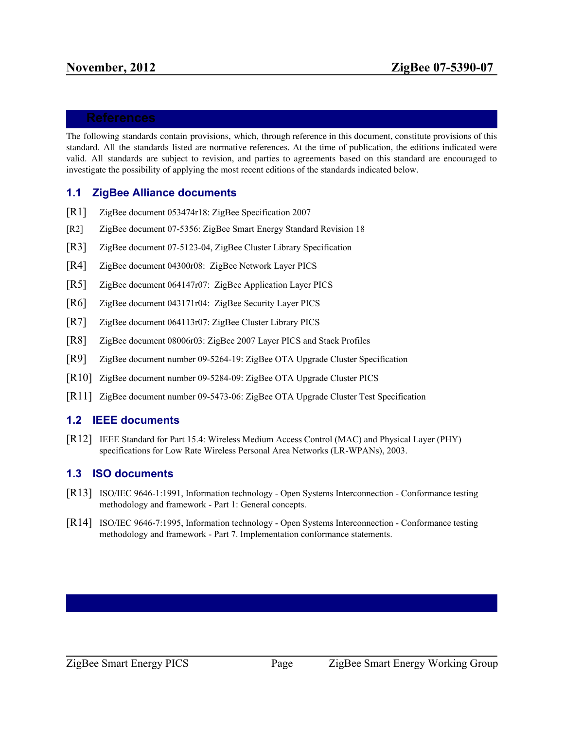The following standards contain provisions, which, through reference in this document, constitute provisions of this standard. All the standards listed are normative references. At the time of publication, the editions indicated were valid. All standards are subject to revision, and parties to agreements based on this standard are encouraged to investigate the possibility of applying the most recent editions of the standards indicated below.

### <span id="page-6-0"></span>**1.1 ZigBee Alliance documents**

- [R1] ZigBee document 053474r18: ZigBee Specification 2007
- [R2] ZigBee document 07-5356: ZigBee Smart Energy Standard Revision 18
- [R3] ZigBee document 07-5123-04, ZigBee Cluster Library Specification
- [R4] ZigBee document 04300r08: ZigBee Network Layer PICS
- [R5] ZigBee document 064147r07: ZigBee Application Layer PICS
- [R6] ZigBee document 043171r04: ZigBee Security Layer PICS
- [R7] ZigBee document 064113r07: ZigBee Cluster Library PICS
- [R8] ZigBee document 08006r03: ZigBee 2007 Layer PICS and Stack Profiles
- [R9] ZigBee document number 09-5264-19: ZigBee OTA Upgrade Cluster Specification
- [R10] ZigBee document number 09-5284-09: ZigBee OTA Upgrade Cluster PICS
- [R11] ZigBee document number 09-5473-06: ZigBee OTA Upgrade Cluster Test Specification

# <span id="page-6-1"></span>**1.2 IEEE documents**

[R12] IEEE Standard for Part 15.4: Wireless Medium Access Control (MAC) and Physical Layer (PHY) specifications for Low Rate Wireless Personal Area Networks (LR-WPANs), 2003.

# <span id="page-6-2"></span>**1.3 ISO documents**

- [R13] ISO/IEC 9646-1:1991, Information technology Open Systems Interconnection Conformance testing methodology and framework - Part 1: General concepts.
- <span id="page-6-3"></span>[R14] ISO/IEC 9646-7:1995, Information technology - Open Systems Interconnection - Conformance testing methodology and framework - Part 7. Implementation conformance statements.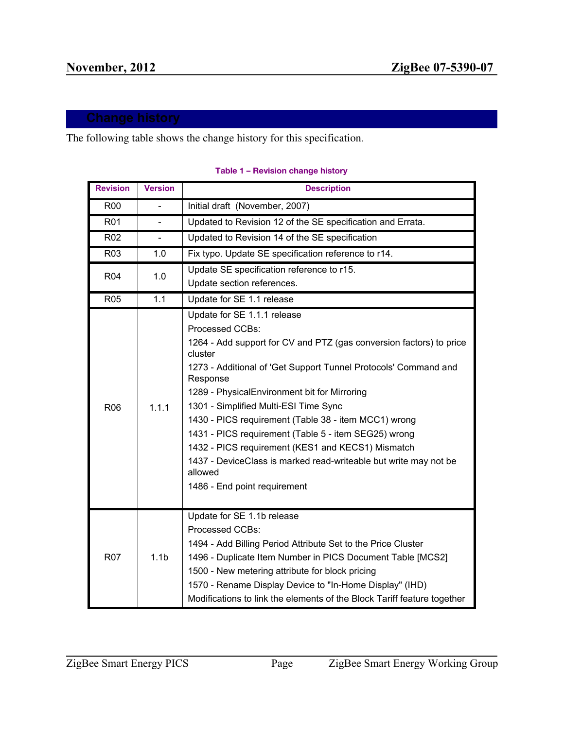The following table shows the change history for this specification.

| <b>Revision</b> | <b>Version</b>   | <b>Description</b>                                                                                                                                                                                                                                                                                                                                                                                                                                                                                                                                                                           |
|-----------------|------------------|----------------------------------------------------------------------------------------------------------------------------------------------------------------------------------------------------------------------------------------------------------------------------------------------------------------------------------------------------------------------------------------------------------------------------------------------------------------------------------------------------------------------------------------------------------------------------------------------|
| <b>R00</b>      |                  | Initial draft (November, 2007)                                                                                                                                                                                                                                                                                                                                                                                                                                                                                                                                                               |
| <b>R01</b>      |                  | Updated to Revision 12 of the SE specification and Errata.                                                                                                                                                                                                                                                                                                                                                                                                                                                                                                                                   |
| R02             |                  | Updated to Revision 14 of the SE specification                                                                                                                                                                                                                                                                                                                                                                                                                                                                                                                                               |
| R03             | 1.0              | Fix typo. Update SE specification reference to r14.                                                                                                                                                                                                                                                                                                                                                                                                                                                                                                                                          |
| <b>R04</b>      | 1.0              | Update SE specification reference to r15.<br>Update section references.                                                                                                                                                                                                                                                                                                                                                                                                                                                                                                                      |
| <b>R05</b>      | 1.1              | Update for SE 1.1 release                                                                                                                                                                                                                                                                                                                                                                                                                                                                                                                                                                    |
| <b>R06</b>      | 1.1.1            | Update for SE 1.1.1 release<br>Processed CCBs:<br>1264 - Add support for CV and PTZ (gas conversion factors) to price<br>cluster<br>1273 - Additional of 'Get Support Tunnel Protocols' Command and<br>Response<br>1289 - PhysicalEnvironment bit for Mirroring<br>1301 - Simplified Multi-ESI Time Sync<br>1430 - PICS requirement (Table 38 - item MCC1) wrong<br>1431 - PICS requirement (Table 5 - item SEG25) wrong<br>1432 - PICS requirement (KES1 and KECS1) Mismatch<br>1437 - DeviceClass is marked read-writeable but write may not be<br>allowed<br>1486 - End point requirement |
| <b>R07</b>      | 1.1 <sub>b</sub> | Update for SE 1.1b release<br>Processed CCBs:<br>1494 - Add Billing Period Attribute Set to the Price Cluster<br>1496 - Duplicate Item Number in PICS Document Table [MCS2]<br>1500 - New metering attribute for block pricing<br>1570 - Rename Display Device to "In-Home Display" (IHD)<br>Modifications to link the elements of the Block Tariff feature together                                                                                                                                                                                                                         |

#### **Table 1 – Revision change history**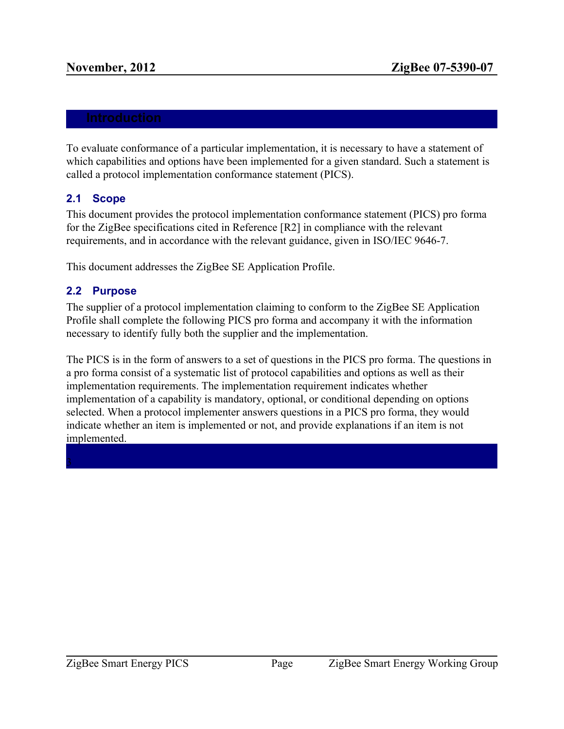To evaluate conformance of a particular implementation, it is necessary to have a statement of which capabilities and options have been implemented for a given standard. Such a statement is called a protocol implementation conformance statement (PICS).

# <span id="page-9-0"></span>**2.1 Scope**

This document provides the protocol implementation conformance statement (PICS) pro forma for the ZigBee specifications cited in Reference [R2] in compliance with the relevant requirements, and in accordance with the relevant guidance, given in ISO/IEC 9646-7.

<span id="page-9-1"></span>This document addresses the ZigBee SE Application Profile.

# **2.2 Purpose**

The supplier of a protocol implementation claiming to conform to the ZigBee SE Application Profile shall complete the following PICS pro forma and accompany it with the information necessary to identify fully both the supplier and the implementation.

<span id="page-9-2"></span>The PICS is in the form of answers to a set of questions in the PICS pro forma. The questions in a pro forma consist of a systematic list of protocol capabilities and options as well as their implementation requirements. The implementation requirement indicates whether implementation of a capability is mandatory, optional, or conditional depending on options selected. When a protocol implementer answers questions in a PICS pro forma, they would indicate whether an item is implemented or not, and provide explanations if an item is not implemented.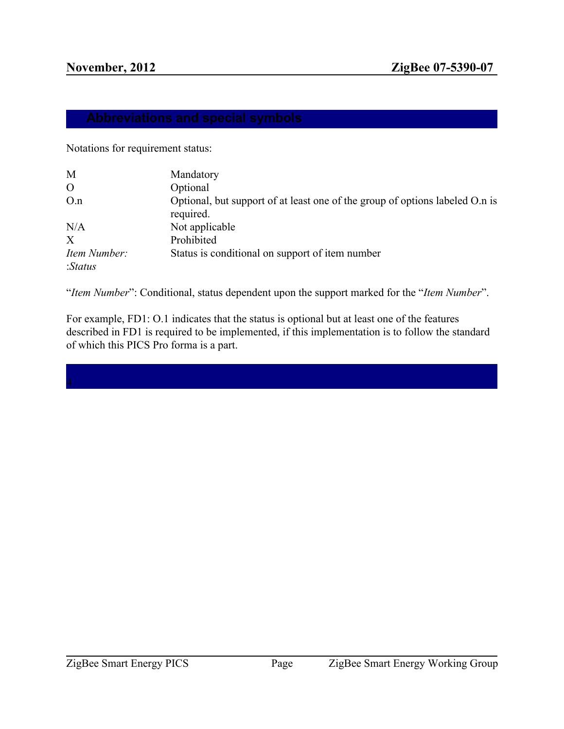Notations for requirement status:

| M              | Mandatory                                                                    |
|----------------|------------------------------------------------------------------------------|
| $\overline{O}$ | Optional                                                                     |
| O.n            | Optional, but support of at least one of the group of options labeled O.n is |
|                | required.                                                                    |
| N/A            | Not applicable                                                               |
| X              | Prohibited                                                                   |
| Item Number:   | Status is conditional on support of item number                              |
| : Status       |                                                                              |

"*Item Number*": Conditional, status dependent upon the support marked for the "*Item Number*".

<span id="page-10-0"></span>For example, FD1: O.1 indicates that the status is optional but at least one of the features described in FD1 is required to be implemented, if this implementation is to follow the standard of which this PICS Pro forma is a part.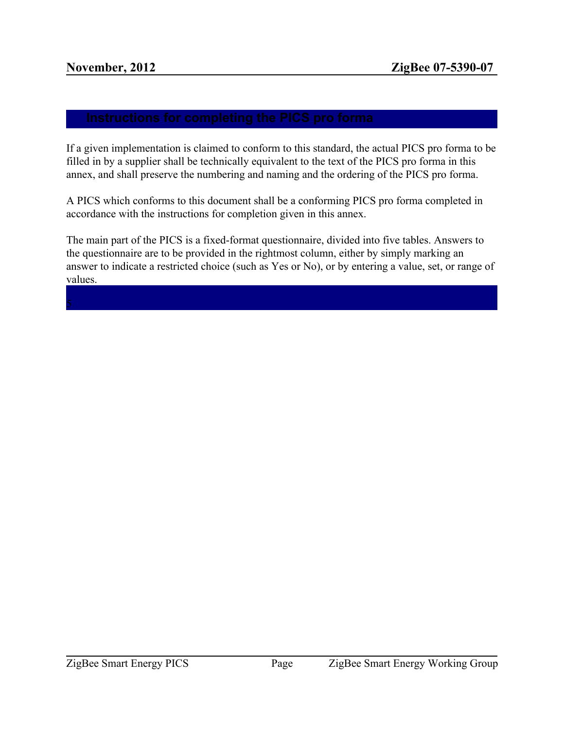If a given implementation is claimed to conform to this standard, the actual PICS pro forma to be filled in by a supplier shall be technically equivalent to the text of the PICS pro forma in this annex, and shall preserve the numbering and naming and the ordering of the PICS pro forma.

A PICS which conforms to this document shall be a conforming PICS pro forma completed in accordance with the instructions for completion given in this annex.

<span id="page-11-0"></span>The main part of the PICS is a fixed-format questionnaire, divided into five tables. Answers to the questionnaire are to be provided in the rightmost column, either by simply marking an answer to indicate a restricted choice (such as Yes or No), or by entering a value, set, or range of values.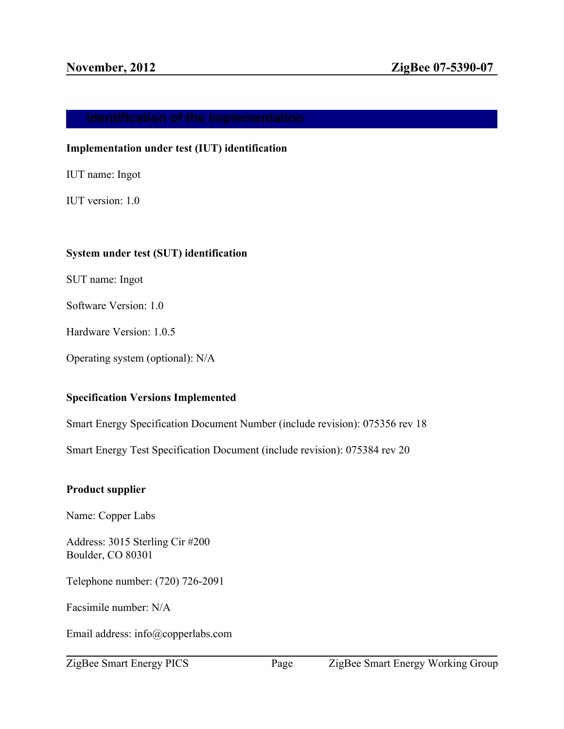### **Implementation under test (IUT) identification**

IUT name: Ingot

IUT version: 1.0

# **System under test (SUT) identification**

SUT name: Ingot

Software Version: 1.0

Hardware Version: 1.0.5

Operating system (optional): N/A

# **Specification Versions Implemented**

Smart Energy Specification Document Number (include revision): 075356 rev 18

Smart Energy Test Specification Document (include revision): 075384 rev 20

# **Product supplier**

Name: Copper Labs

Address: 3015 Sterling Cir #200 Boulder, CO 80301

Telephone number: (720) 726-2091

Facsimile number: N/A

Email address: info@copperlabs.com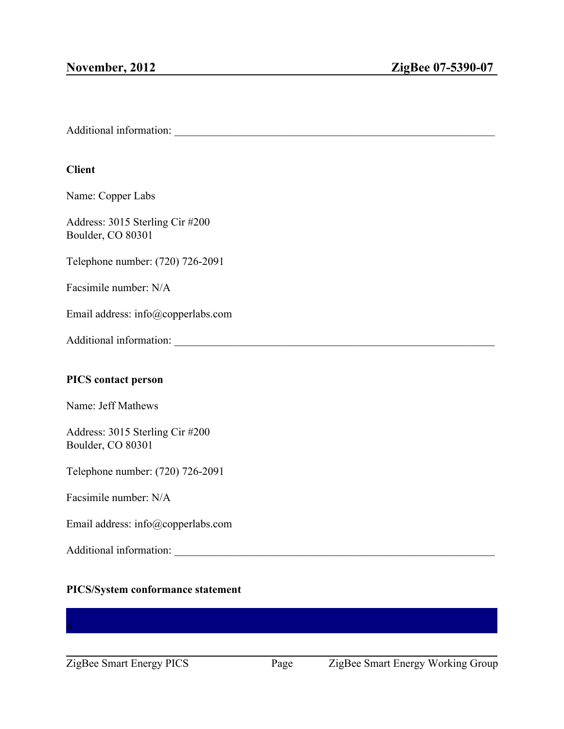Additional information: \_\_\_\_\_\_\_\_\_\_\_\_\_\_\_\_\_\_\_\_\_\_\_\_\_\_\_\_\_\_\_\_\_\_\_\_\_\_\_\_\_\_\_\_\_\_\_\_\_\_\_\_\_\_\_\_\_\_

# **Client**

Name: Copper Labs

Address: 3015 Sterling Cir #200 Boulder, CO 80301

Telephone number: (720) 726-2091

Facsimile number: N/A

Email address: info@copperlabs.com

Additional information:

# **PICS contact person**

Name: Jeff Mathews

Address: 3015 Sterling Cir #200 Boulder, CO 80301

Telephone number: (720) 726-2091

Facsimile number: N/A

Email address: info@copperlabs.com

Additional information: \_\_\_\_\_\_\_\_\_\_\_\_\_\_\_\_\_\_\_\_\_\_\_\_\_\_\_\_\_\_\_\_\_\_\_\_\_\_\_\_\_\_\_\_\_\_\_\_\_\_\_\_\_\_\_\_\_\_

# <span id="page-13-0"></span>**PICS/System conformance statement**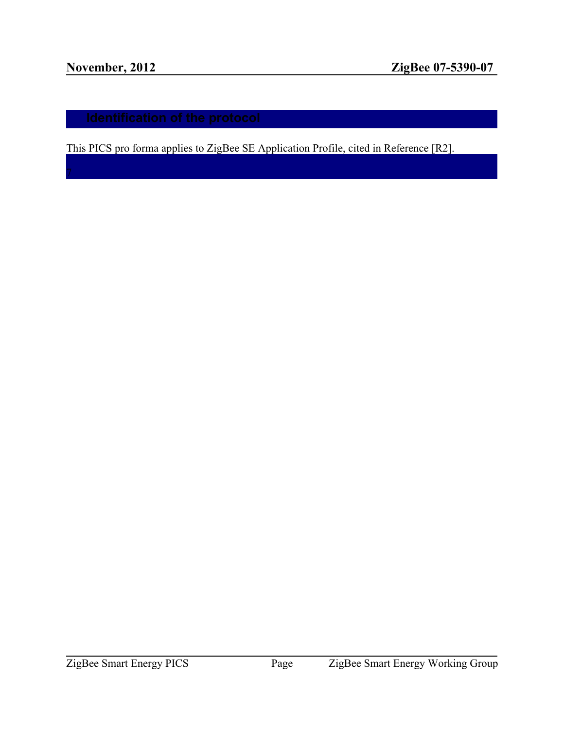<span id="page-14-0"></span>This PICS pro forma applies to ZigBee SE Application Profile, cited in Reference [R2].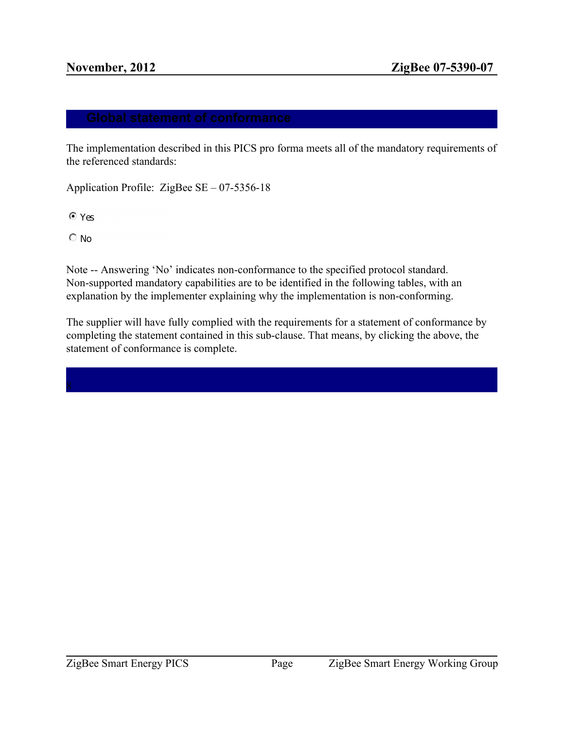The implementation described in this PICS pro forma meets all of the mandatory requirements of the referenced standards:

Application Profile: ZigBee SE – 07-5356-18

 $OYes$ 

 $\circ$  No

Note -- Answering 'No' indicates non-conformance to the specified protocol standard. Non-supported mandatory capabilities are to be identified in the following tables, with an explanation by the implementer explaining why the implementation is non-conforming.

<span id="page-15-0"></span>The supplier will have fully complied with the requirements for a statement of conformance by completing the statement contained in this sub-clause. That means, by clicking the above, the statement of conformance is complete.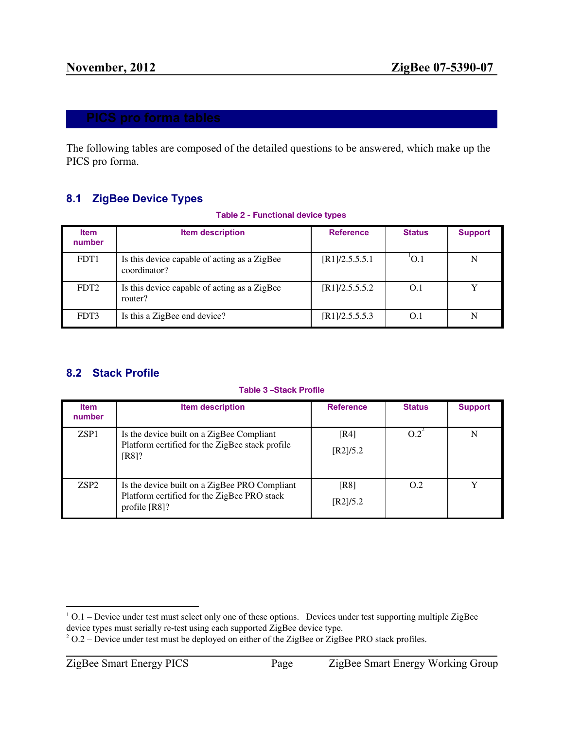The following tables are composed of the detailed questions to be answered, which make up the PICS pro forma.

# <span id="page-16-0"></span>**8.1 ZigBee Device Types**

**Table 2 - Functional device types**

| <b>Item</b><br>number | <b>Item description</b>                                      | <b>Reference</b> | <b>Status</b> | <b>Support</b> |
|-----------------------|--------------------------------------------------------------|------------------|---------------|----------------|
| FDT <sub>1</sub>      | Is this device capable of acting as a ZigBee<br>coordinator? | [R1]/2.5.5.5.1   | O.1           | N              |
| FDT <sub>2</sub>      | Is this device capable of acting as a ZigBee<br>router?      | [R1]/2.5.5.5.2   | O.1           |                |
| FDT3                  | Is this a ZigBee end device?                                 | [R1]/2.5.5.5.3   | O.1           | N              |

# <span id="page-16-1"></span>**8.2 Stack Profile**

#### **Table 3 –Stack Profile**

| <b>Item</b><br>number | <b>Item description</b>                                                                                       | <b>Reference</b> | <b>Status</b> | <b>Support</b> |
|-----------------------|---------------------------------------------------------------------------------------------------------------|------------------|---------------|----------------|
| ZSP1                  | Is the device built on a ZigBee Compliant<br>Platform certified for the ZigBee stack profile<br>$[R8]$ ?      | [R4]<br>[R2]/5.2 | $O.2^{\circ}$ | N              |
| ZSP <sub>2</sub>      | Is the device built on a ZigBee PRO Compliant<br>Platform certified for the ZigBee PRO stack<br>profile [R8]? | [R8]<br>[R2]/5.2 | O.2           | $\mathbf v$    |

<sup>&</sup>lt;sup>1</sup> O.1 – Device under test must select only one of these options. Devices under test supporting multiple ZigBee device types must serially re-test using each supported ZigBee device type.

<sup>&</sup>lt;sup>2</sup> O.2 – Device under test must be deployed on either of the ZigBee or ZigBee PRO stack profiles.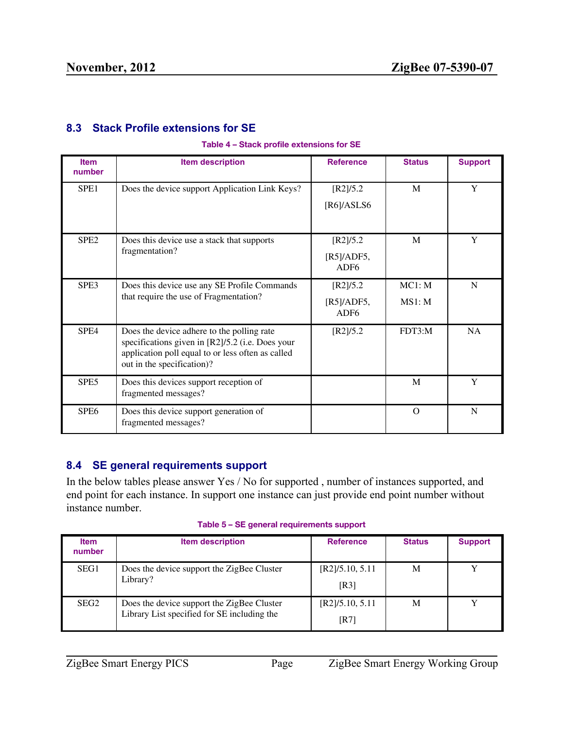# <span id="page-17-0"></span>**8.3 Stack Profile extensions for SE**

#### **Table 4 – Stack profile extensions for SE**

| <b>Item</b><br>number | <b>Item description</b>                                                                                                                                                           | <b>Reference</b>                             | <b>Status</b>    | <b>Support</b> |
|-----------------------|-----------------------------------------------------------------------------------------------------------------------------------------------------------------------------------|----------------------------------------------|------------------|----------------|
| SPE <sub>1</sub>      | Does the device support Application Link Keys?                                                                                                                                    | [R2]/5.2<br>[R6]/ASLS6                       | M                | Y              |
| SPE <sub>2</sub>      | Does this device use a stack that supports<br>fragmentation?                                                                                                                      | [R2]/5.2<br>[R5]/ADF5,<br>ADF <sub>6</sub>   | M                | Y              |
| SPE3                  | Does this device use any SE Profile Commands<br>that require the use of Fragmentation?                                                                                            | [R2]/5.2<br>$[R5]/ADF5,$<br>ADF <sub>6</sub> | MC1: M<br>MS1: M | N              |
| SPE4                  | Does the device adhere to the polling rate<br>specifications given in [R2]/5.2 (i.e. Does your<br>application poll equal to or less often as called<br>out in the specification)? | [R2]/5.2                                     | FDT3:M           | <b>NA</b>      |
| SPE5                  | Does this devices support reception of<br>fragmented messages?                                                                                                                    |                                              | M                | Y              |
| SPE6                  | Does this device support generation of<br>fragmented messages?                                                                                                                    |                                              | $\Omega$         | N              |

# <span id="page-17-1"></span>**8.4 SE general requirements support**

In the below tables please answer Yes / No for supported , number of instances supported, and end point for each instance. In support one instance can just provide end point number without instance number.

|  | Table 5 - SE general requirements support |
|--|-------------------------------------------|
|--|-------------------------------------------|

| <b>Item</b><br>number | <b>Item description</b>                                                                   | <b>Reference</b>        | <b>Status</b> | <b>Support</b> |
|-----------------------|-------------------------------------------------------------------------------------------|-------------------------|---------------|----------------|
| SEG1                  | Does the device support the ZigBee Cluster<br>Library?                                    | [R2]/5.10, 5.11<br>[R3] | M             | v              |
| SEG <sub>2</sub>      | Does the device support the ZigBee Cluster<br>Library List specified for SE including the | [R2]/5.10, 5.11<br>[R7] | M             |                |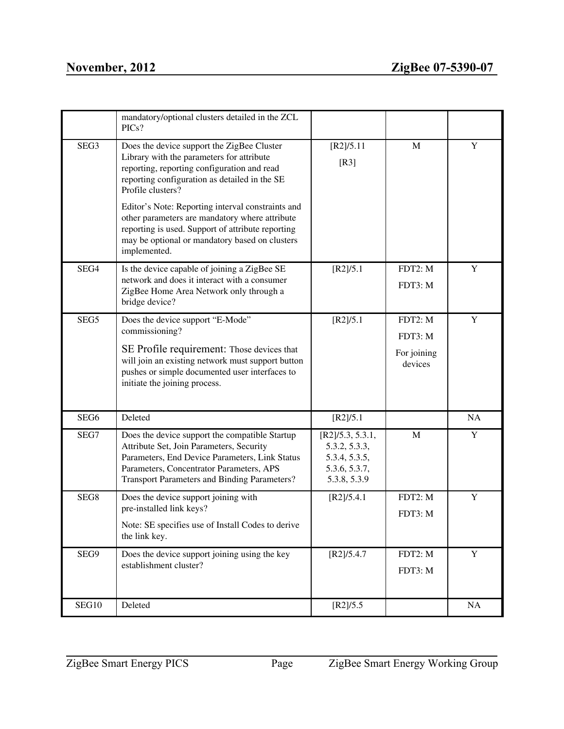|       | mandatory/optional clusters detailed in the ZCL<br>PICs?                                                                                                                                                                                 |                                                                                     |                        |             |
|-------|------------------------------------------------------------------------------------------------------------------------------------------------------------------------------------------------------------------------------------------|-------------------------------------------------------------------------------------|------------------------|-------------|
| SEG3  | Does the device support the ZigBee Cluster<br>Library with the parameters for attribute<br>reporting, reporting configuration and read<br>reporting configuration as detailed in the SE<br>Profile clusters?                             | [R2]/5.11<br>[R3]                                                                   | $\mathbf{M}$           | Y           |
|       | Editor's Note: Reporting interval constraints and<br>other parameters are mandatory where attribute<br>reporting is used. Support of attribute reporting<br>may be optional or mandatory based on clusters<br>implemented.               |                                                                                     |                        |             |
| SEG4  | Is the device capable of joining a ZigBee SE<br>network and does it interact with a consumer<br>ZigBee Home Area Network only through a<br>bridge device?                                                                                | [R2]/5.1                                                                            | FDT2: M<br>FDT3: M     | $\mathbf Y$ |
| SEG5  | Does the device support "E-Mode"<br>commissioning?                                                                                                                                                                                       | [R2]/5.1                                                                            | FDT2: M<br>FDT3: M     | $\mathbf Y$ |
|       | SE Profile requirement: Those devices that<br>will join an existing network must support button<br>pushes or simple documented user interfaces to<br>initiate the joining process.                                                       |                                                                                     | For joining<br>devices |             |
| SEG6  | Deleted                                                                                                                                                                                                                                  | [R2]/5.1                                                                            |                        | NA          |
| SEG7  | Does the device support the compatible Startup<br>Attribute Set, Join Parameters, Security<br>Parameters, End Device Parameters, Link Status<br>Parameters, Concentrator Parameters, APS<br>Transport Parameters and Binding Parameters? | [R2]/5.3, 5.3.1,<br>5.3.2, 5.3.3,<br>5.3.4, 5.3.5,<br>5.3.6, 5.3.7,<br>5.3.8, 5.3.9 | M                      | Y           |
| SEG8  | Does the device support joining with<br>pre-installed link keys?<br>Note: SE specifies use of Install Codes to derive                                                                                                                    | [R2]/5.4.1                                                                          | FDT2: M<br>FDT3: M     | $\mathbf Y$ |
|       | the link key.                                                                                                                                                                                                                            |                                                                                     |                        |             |
| SEG9  | Does the device support joining using the key<br>establishment cluster?                                                                                                                                                                  | [R2]/5.4.7                                                                          | FDT2: M<br>FDT3: M     | $\mathbf Y$ |
| SEG10 | Deleted                                                                                                                                                                                                                                  | [R2]/5.5                                                                            |                        | NA          |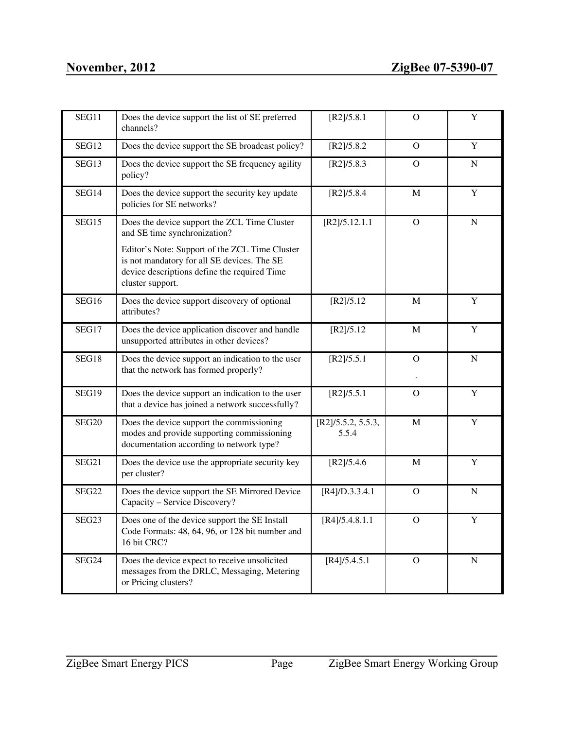| SEG11             | Does the device support the list of SE preferred<br>channels?                                                                                                     | [R2]/5.8.1                  | O              | $\mathbf Y$ |
|-------------------|-------------------------------------------------------------------------------------------------------------------------------------------------------------------|-----------------------------|----------------|-------------|
| SEG12             | Does the device support the SE broadcast policy?                                                                                                                  | [R2]/5.8.2                  | $\mathbf{O}$   | $\mathbf Y$ |
| SEG13             | Does the device support the SE frequency agility<br>policy?                                                                                                       | [R2]/5.8.3                  | O              | N           |
| SEG14             | Does the device support the security key update<br>policies for SE networks?                                                                                      | [R2]/5.8.4                  | M              | $\mathbf Y$ |
| SEG15             | Does the device support the ZCL Time Cluster<br>and SE time synchronization?                                                                                      | [R2]/5.12.1.1               | $\mathbf O$    | ${\bf N}$   |
|                   | Editor's Note: Support of the ZCL Time Cluster<br>is not mandatory for all SE devices. The SE<br>device descriptions define the required Time<br>cluster support. |                             |                |             |
| SEG16             | Does the device support discovery of optional<br>attributes?                                                                                                      | [R2]/5.12                   | M              | $\mathbf Y$ |
| SEG17             | Does the device application discover and handle<br>unsupported attributes in other devices?                                                                       | [R2]/5.12                   | M              | Y           |
| SEG18             | Does the device support an indication to the user<br>that the network has formed properly?                                                                        | [R2]/5.5.1                  | $\mathbf{O}$   | $\mathbf N$ |
| SEG19             | Does the device support an indication to the user<br>that a device has joined a network successfully?                                                             | [R2]/5.5.1                  | $\mathbf{O}$   | $\mathbf Y$ |
| SEG <sub>20</sub> | Does the device support the commissioning<br>modes and provide supporting commissioning<br>documentation according to network type?                               | [R2]/5.5.2, 5.5.3,<br>5.5.4 | $\mathbf M$    | $\mathbf Y$ |
| SEG21             | Does the device use the appropriate security key<br>per cluster?                                                                                                  | [R2]/5.4.6                  | $\mathbf{M}$   | $\mathbf Y$ |
| SEG22             | Does the device support the SE Mirrored Device<br>Capacity - Service Discovery?                                                                                   | [R4]/D.3.3.4.1              | $\overline{O}$ | $\mathbf N$ |
| SEG23             | Does one of the device support the SE Install<br>Code Formats: 48, 64, 96, or 128 bit number and<br>16 bit CRC?                                                   | [R4]/5.4.8.1.1              | $\mathbf{O}$   | $\mathbf Y$ |
| SEG24             | Does the device expect to receive unsolicited<br>messages from the DRLC, Messaging, Metering<br>or Pricing clusters?                                              | [R4]/5.4.5.1                | $\overline{O}$ | $\mathbf N$ |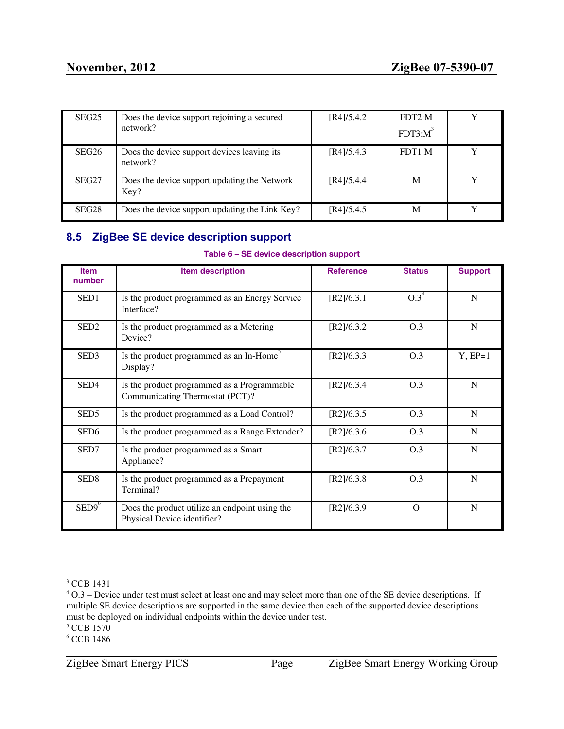| SEG <sub>25</sub> | Does the device support rejoining a secured             | [R4]/5.4.2 | FDT2:M     | v |
|-------------------|---------------------------------------------------------|------------|------------|---|
|                   | network?                                                |            | $FDT3:M^3$ |   |
| SEG <sub>26</sub> | Does the device support devices leaving its<br>network? | [R4]/5.4.3 | FDT1:M     |   |
| SEG <sub>27</sub> | Does the device support updating the Network<br>Key?    | [R4]/5.4.4 | M          |   |
| SEG <sub>28</sub> | Does the device support updating the Link Key?          | [R4]/5.4.5 | M          |   |

# <span id="page-20-0"></span>**8.5 ZigBee SE device description support**

### **Table 6 – SE device description support**

| <b>Item</b><br>number | <b>Item description</b>                                                        | <b>Reference</b> | <b>Status</b> | <b>Support</b> |
|-----------------------|--------------------------------------------------------------------------------|------------------|---------------|----------------|
| SED1                  | Is the product programmed as an Energy Service<br>Interface?                   | [R2]/6.3.1       | $0.3^4$       | N              |
| SED <sub>2</sub>      | Is the product programmed as a Metering<br>Device?                             | [R2]/6.3.2       | O.3           | N              |
| SED <sub>3</sub>      | Is the product programmed as an In-Home <sup>5</sup><br>Display?               | [R2]/6.3.3       | O.3           | $Y, EP=1$      |
| SED4                  | Is the product programmed as a Programmable<br>Communicating Thermostat (PCT)? | [R2]/6.3.4       | O.3           | N              |
| SED <sub>5</sub>      | Is the product programmed as a Load Control?                                   | [R2]/6.3.5       | O.3           | N              |
| SED <sub>6</sub>      | Is the product programmed as a Range Extender?                                 | [R2]/6.3.6       | O.3           | N              |
| SED7                  | Is the product programmed as a Smart<br>Appliance?                             | [R2]/6.3.7       | O.3           | N              |
| SED <sub>8</sub>      | Is the product programmed as a Prepayment<br>Terminal?                         | [R2]/6.3.8       | O.3           | N              |
| $SED9^6$              | Does the product utilize an endpoint using the<br>Physical Device identifier?  | [R2]/6.3.9       | $\Omega$      | N              |

<sup>5</sup> CCB 1570

<sup>&</sup>lt;sup>3</sup> CCB 1431

<sup>4</sup> O.3 – Device under test must select at least one and may select more than one of the SE device descriptions. If multiple SE device descriptions are supported in the same device then each of the supported device descriptions must be deployed on individual endpoints within the device under test.

<sup>6</sup> CCB 1486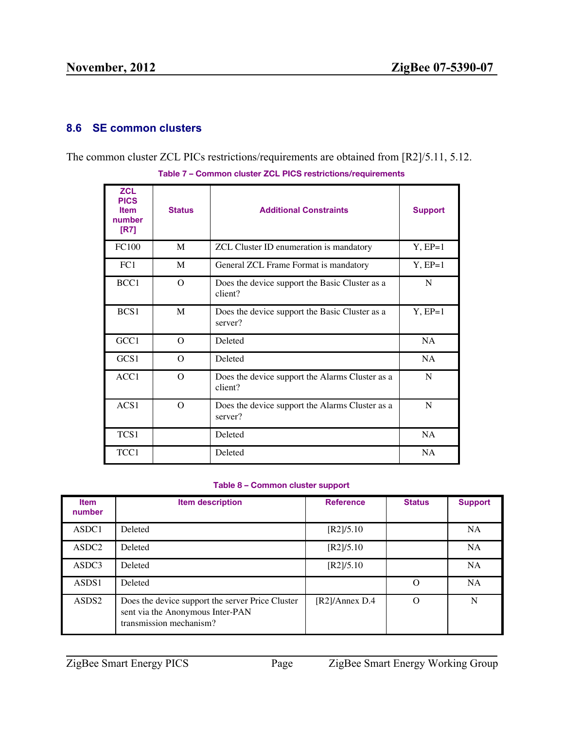# <span id="page-21-0"></span>**8.6 SE common clusters**

|                                                             |  | The common cluster ZCL PICs restrictions/requirements are obtained from $\left[\frac{R2}{5.11}, \frac{5.12}{5.12}\right]$ |  |  |  |  |
|-------------------------------------------------------------|--|---------------------------------------------------------------------------------------------------------------------------|--|--|--|--|
| Table 7 – Common cluster ZCL PICS restrictions/requirements |  |                                                                                                                           |  |  |  |  |
| 701                                                         |  |                                                                                                                           |  |  |  |  |

| <b>ZCL</b><br><b>PICS</b><br><b>Item</b><br>number<br>[R7] | <b>Status</b> | <b>Additional Constraints</b>                              | <b>Support</b> |
|------------------------------------------------------------|---------------|------------------------------------------------------------|----------------|
| <b>FC100</b>                                               | M             | ZCL Cluster ID enumeration is mandatory                    | $Y, EP=1$      |
| FC1                                                        | M             | General ZCL Frame Format is mandatory                      | $Y, EP=1$      |
| BCC1                                                       | $\Omega$      | Does the device support the Basic Cluster as a<br>client?  | N              |
| BCS1                                                       | M             | Does the device support the Basic Cluster as a<br>server?  | $Y, EP=1$      |
| GCC1                                                       | $\Omega$      | Deleted                                                    | NA             |
| GCS1                                                       | $\Omega$      | Deleted                                                    | <b>NA</b>      |
| ACC1                                                       | $\Omega$      | Does the device support the Alarms Cluster as a<br>client? | N              |
| ACS1                                                       | $\Omega$      | Does the device support the Alarms Cluster as a<br>server? | N              |
| TCS1                                                       |               | Deleted                                                    | <b>NA</b>      |
| TCC1                                                       |               | Deleted                                                    | <b>NA</b>      |

#### **Table 8 – Common cluster support**

| <b>Item</b><br>number | <b>Item description</b>                                                                                         | <b>Reference</b>         | <b>Status</b> | <b>Support</b> |
|-----------------------|-----------------------------------------------------------------------------------------------------------------|--------------------------|---------------|----------------|
| ASDC1                 | <b>Deleted</b>                                                                                                  | [R2]/5.10                |               | <b>NA</b>      |
| ASDC <sub>2</sub>     | <b>Deleted</b>                                                                                                  | [R2]/5.10                |               | <b>NA</b>      |
| ASDC3                 | Deleted                                                                                                         | [R2]/5.10                |               | <b>NA</b>      |
| ASDS1                 | <b>Deleted</b>                                                                                                  |                          | $\Omega$      | NA             |
| ASDS <sub>2</sub>     | Does the device support the server Price Cluster<br>sent via the Anonymous Inter-PAN<br>transmission mechanism? | $[R2]/\text{Annex } D.4$ | $\Omega$      | N              |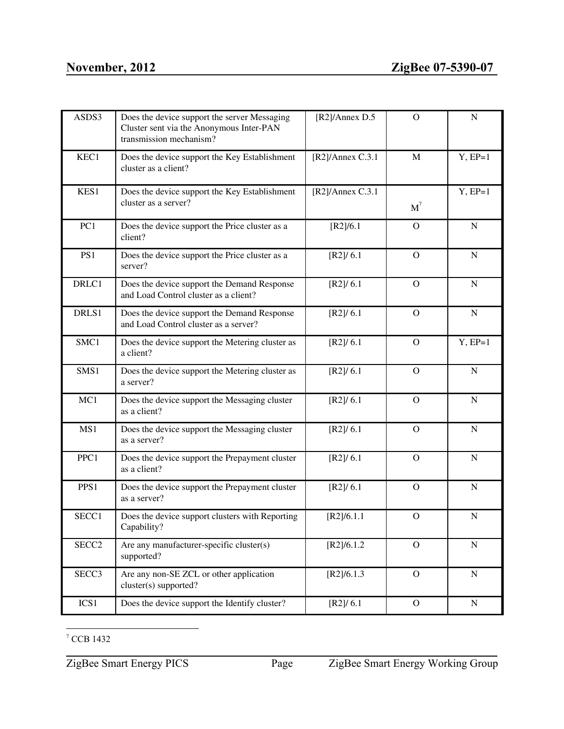| ASDS3             | Does the device support the server Messaging<br>Cluster sent via the Anonymous Inter-PAN<br>transmission mechanism? | [R2]/Annex D.5             | $\Omega$       | ${\bf N}$   |
|-------------------|---------------------------------------------------------------------------------------------------------------------|----------------------------|----------------|-------------|
| KEC1              | Does the device support the Key Establishment<br>cluster as a client?                                               | $[R2]/\text{Annex } C.3.1$ | M              | $Y, EP=1$   |
| KES1              | Does the device support the Key Establishment<br>cluster as a server?                                               | $[R2]/\text{Annex C.3.1}$  | $M^7$          | $Y, EP=1$   |
| PC1               | Does the device support the Price cluster as a<br>client?                                                           | [R2]/6.1                   | $\Omega$       | $\mathbf N$ |
| PS1               | Does the device support the Price cluster as a<br>server?                                                           | [R2]/6.1                   | $\Omega$       | $\mathbf N$ |
| DRLC1             | Does the device support the Demand Response<br>and Load Control cluster as a client?                                | [R2]/6.1                   | $\Omega$       | $\mathbf N$ |
| DRLS1             | Does the device support the Demand Response<br>and Load Control cluster as a server?                                | [R2]/6.1                   | $\Omega$       | $\mathbf N$ |
| SMC1              | Does the device support the Metering cluster as<br>a client?                                                        | [R2]/6.1                   | $\Omega$       | $Y, EP=1$   |
| SMS1              | Does the device support the Metering cluster as<br>a server?                                                        | [R2]/6.1                   | $\Omega$       | ${\bf N}$   |
| MC1               | Does the device support the Messaging cluster<br>as a client?                                                       | [R2]/6.1                   | $\Omega$       | $\mathbf N$ |
| MS1               | Does the device support the Messaging cluster<br>as a server?                                                       | [R2]/6.1                   | $\Omega$       | $\mathbf N$ |
| PPC1              | Does the device support the Prepayment cluster<br>as a client?                                                      | [R2]/6.1                   | $\Omega$       | $\mathbf N$ |
| PPS1              | Does the device support the Prepayment cluster<br>as a server?                                                      | [R2]/6.1                   | $\Omega$       | $\mathbf N$ |
| SECC1             | Does the device support clusters with Reporting<br>Capability?                                                      | [R2]/6.1.1                 | $\mathcal{O}$  | N           |
| SECC <sub>2</sub> | Are any manufacturer-specific cluster(s)<br>supported?                                                              | [R2]/6.1.2                 | $\overline{O}$ | ${\bf N}$   |
| SECC3             | Are any non-SE ZCL or other application<br>cluster(s) supported?                                                    | [R2]/6.1.3                 | $\mathcal{O}$  | ${\bf N}$   |
| ICS1              | Does the device support the Identify cluster?                                                                       | [R2]/6.1                   | $\mathcal{O}$  | ${\bf N}$   |

<sup>7</sup> CCB 1432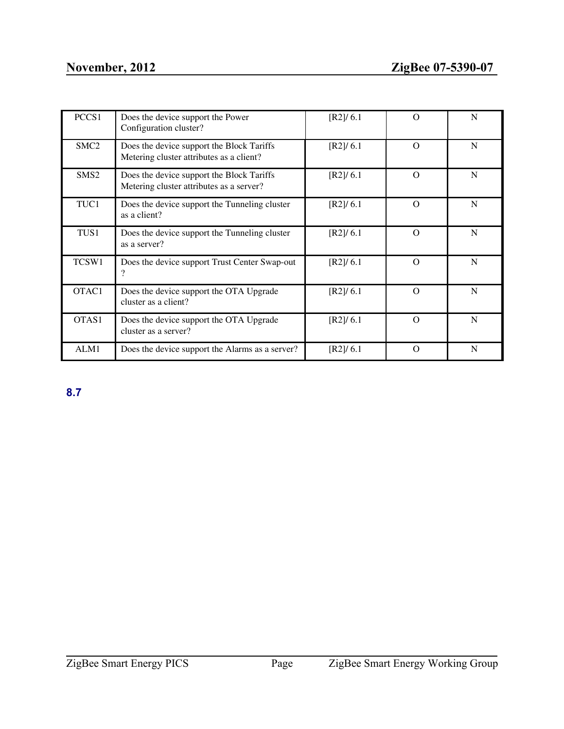| PCCS1            | Does the device support the Power<br>Configuration cluster?                           | [R2]/6.1 | $\Omega$ | N |
|------------------|---------------------------------------------------------------------------------------|----------|----------|---|
| SMC <sub>2</sub> | Does the device support the Block Tariffs<br>Metering cluster attributes as a client? | [R2]/6.1 | $\Omega$ | N |
| SMS <sub>2</sub> | Does the device support the Block Tariffs<br>Metering cluster attributes as a server? | [R2]/6.1 | $\Omega$ | N |
| TUC1             | Does the device support the Tunneling cluster<br>as a client?                         | [R2]/6.1 | $\Omega$ | N |
| TUS1             | Does the device support the Tunneling cluster<br>as a server?                         | [R2]/6.1 | $\Omega$ | N |
| TCSW1            | Does the device support Trust Center Swap-out                                         | [R2]/6.1 | $\Omega$ | N |
| OTAC1            | Does the device support the OTA Upgrade<br>cluster as a client?                       | [R2]/6.1 | $\Omega$ | N |
| OTAS1            | Does the device support the OTA Upgrade<br>cluster as a server?                       | [R2]/6.1 | $\Omega$ | N |
| ALM1             | Does the device support the Alarms as a server?                                       | [R2]/6.1 | $\Omega$ | N |

<span id="page-23-0"></span>**8.7**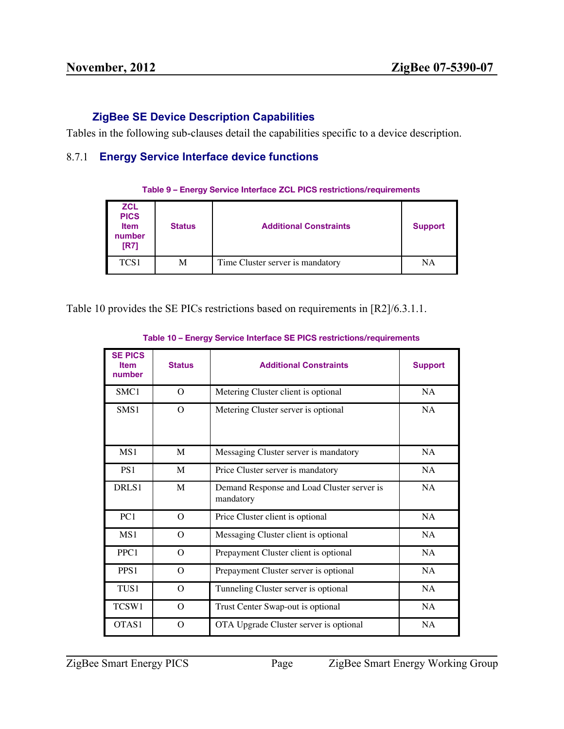# **ZigBee SE Device Description Capabilities**

Tables in the following sub-clauses detail the capabilities specific to a device description.

# <span id="page-24-0"></span>8.7.1 **Energy Service Interface device functions**

| Table 9 - Energy Service Interface ZCL PICS restrictions/requirements |  |  |  |  |  |  |  |  |  |
|-----------------------------------------------------------------------|--|--|--|--|--|--|--|--|--|
|-----------------------------------------------------------------------|--|--|--|--|--|--|--|--|--|

| <b>ZCL</b><br><b>PICS</b><br><b>Item</b><br>number<br><b>IR71</b> | <b>Status</b> | <b>Additional Constraints</b>    | <b>Support</b> |
|-------------------------------------------------------------------|---------------|----------------------------------|----------------|
| TCS1                                                              | М             | Time Cluster server is mandatory | NA             |

Table 10 provides the SE PICs restrictions based on requirements in [R2]/6.3.1.1.

| <b>SE PICS</b><br><b>Item</b><br>number | <b>Status</b> | <b>Additional Constraints</b>                           | <b>Support</b> |
|-----------------------------------------|---------------|---------------------------------------------------------|----------------|
| SMC1                                    | $\Omega$      | Metering Cluster client is optional                     | NA             |
| SMS1                                    | $\Omega$      | Metering Cluster server is optional                     | NA             |
| MS1                                     | M             | Messaging Cluster server is mandatory                   | <b>NA</b>      |
| PS <sub>1</sub>                         | M             | Price Cluster server is mandatory                       | NA             |
| DRLS1                                   | M             | Demand Response and Load Cluster server is<br>mandatory | NA             |
| PC <sub>1</sub>                         | $\Omega$      | Price Cluster client is optional                        | NA             |
| MS1                                     | O             | Messaging Cluster client is optional                    | <b>NA</b>      |
| PPC1                                    | $\Omega$      | Prepayment Cluster client is optional                   | NA             |
| PPS <sub>1</sub>                        | $\Omega$      | Prepayment Cluster server is optional                   | NA             |
| TUS1                                    | O             | Tunneling Cluster server is optional                    | <b>NA</b>      |
| TCSW1                                   | $\Omega$      | Trust Center Swap-out is optional                       | NA             |
| OTAS1                                   | O             | OTA Upgrade Cluster server is optional                  | <b>NA</b>      |

#### **Table 10 – Energy Service Interface SE PICS restrictions/requirements**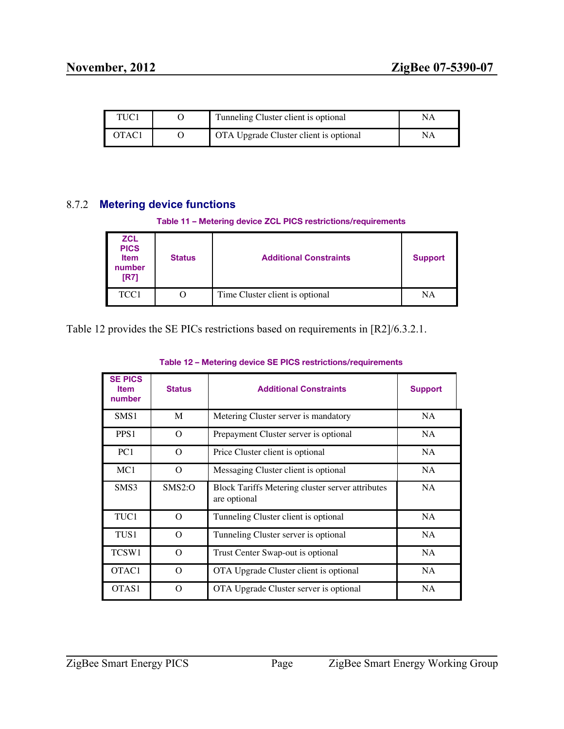| TUC1  | Tunneling Cluster client is optional   |    |
|-------|----------------------------------------|----|
| OTAC1 | OTA Upgrade Cluster client is optional | NA |

# <span id="page-25-0"></span>8.7.2 **Metering device functions**

|  |  |  |  | Table 11 - Metering device ZCL PICS restrictions/requirements |  |
|--|--|--|--|---------------------------------------------------------------|--|
|--|--|--|--|---------------------------------------------------------------|--|

| <b>ZCL</b><br><b>PICS</b><br><b>Item</b><br>number<br>[R7] | <b>Status</b> | <b>Additional Constraints</b>   | <b>Support</b> |
|------------------------------------------------------------|---------------|---------------------------------|----------------|
| TCC1                                                       | O             | Time Cluster client is optional | NA             |

Table 12 provides the SE PICs restrictions based on requirements in [R2]/6.3.2.1.

| <b>SE PICS</b><br><b>Item</b><br>number | <b>Status</b> | <b>Additional Constraints</b>                                           | <b>Support</b> |
|-----------------------------------------|---------------|-------------------------------------------------------------------------|----------------|
| SMS1                                    | M             | Metering Cluster server is mandatory                                    | <b>NA</b>      |
| PPS <sub>1</sub>                        | $\Omega$      | Prepayment Cluster server is optional                                   | NA             |
| PC <sub>1</sub>                         | $\Omega$      | Price Cluster client is optional                                        | <b>NA</b>      |
| MC1                                     | $\Omega$      | Messaging Cluster client is optional                                    | NA             |
| SMS3                                    | SMS2:O        | <b>Block Tariffs Metering cluster server attributes</b><br>are optional | <b>NA</b>      |
| TUC1                                    | $\Omega$      | Tunneling Cluster client is optional                                    | <b>NA</b>      |
| TUS1                                    | $\Omega$      | Tunneling Cluster server is optional                                    | <b>NA</b>      |
| TCSW1                                   | $\Omega$      | Trust Center Swap-out is optional                                       | <b>NA</b>      |
| OTAC <sub>1</sub>                       | $\Omega$      | OTA Upgrade Cluster client is optional                                  | <b>NA</b>      |
| OTAS1                                   | $\Omega$      | OTA Upgrade Cluster server is optional                                  | <b>NA</b>      |

#### **Table 12 – Metering device SE PICS restrictions/requirements**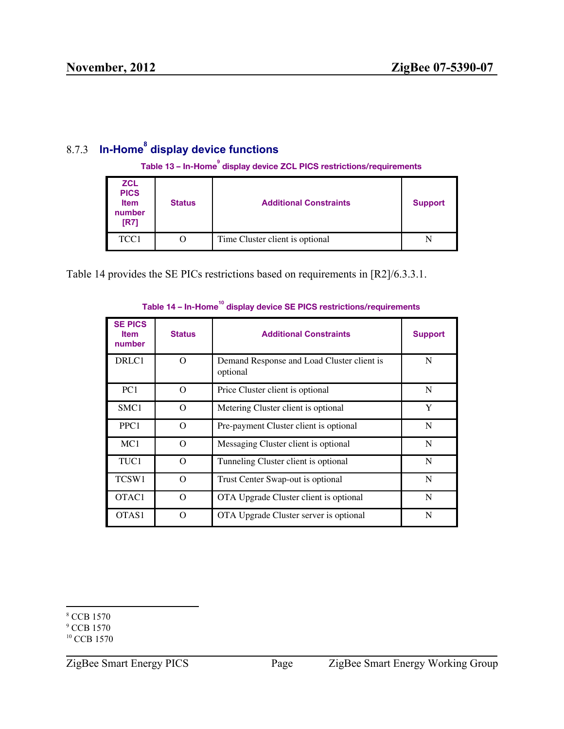# <span id="page-26-0"></span>8.7.3 **In-Home<sup>8</sup> display device functions**

Table 13 – In-Home<sup>9</sup> display device ZCL PICS restrictions/requirements

| <b>ZCL</b><br><b>PICS</b><br><b>Item</b><br>number<br>[R7] | <b>Status</b> | <b>Additional Constraints</b>   | <b>Support</b> |
|------------------------------------------------------------|---------------|---------------------------------|----------------|
| TCC1                                                       | O             | Time Cluster client is optional |                |

Table 14 provides the SE PICs restrictions based on requirements in [R2]/6.3.3.1.

| <b>SE PICS</b><br><b>Item</b><br>number | <b>Status</b> | <b>Additional Constraints</b>                          | <b>Support</b> |
|-----------------------------------------|---------------|--------------------------------------------------------|----------------|
| DRLC1                                   | $\Omega$      | Demand Response and Load Cluster client is<br>optional | N              |
| PC <sub>1</sub>                         | $\Omega$      | Price Cluster client is optional                       | N              |
| SMC <sub>1</sub>                        | $\Omega$      | Metering Cluster client is optional                    | Y              |
| PPC1                                    | $\Omega$      | Pre-payment Cluster client is optional                 | N              |
| MC1                                     | $\Omega$      | Messaging Cluster client is optional                   | N              |
| TUC1                                    | $\Omega$      | Tunneling Cluster client is optional                   | N              |
| TCSW1                                   | $\Omega$      | Trust Center Swap-out is optional                      | N              |
| OTAC1                                   | $\Omega$      | OTA Upgrade Cluster client is optional                 | N              |
| OTAS1                                   | O             | OTA Upgrade Cluster server is optional                 | N              |

# Table 14 – In-Home<sup>10</sup> display device SE PICS restrictions/requirements

<sup>8</sup> CCB 1570

<sup>&</sup>lt;sup>9</sup> CCB 1570

<sup>&</sup>lt;sup>10</sup> CCB 1570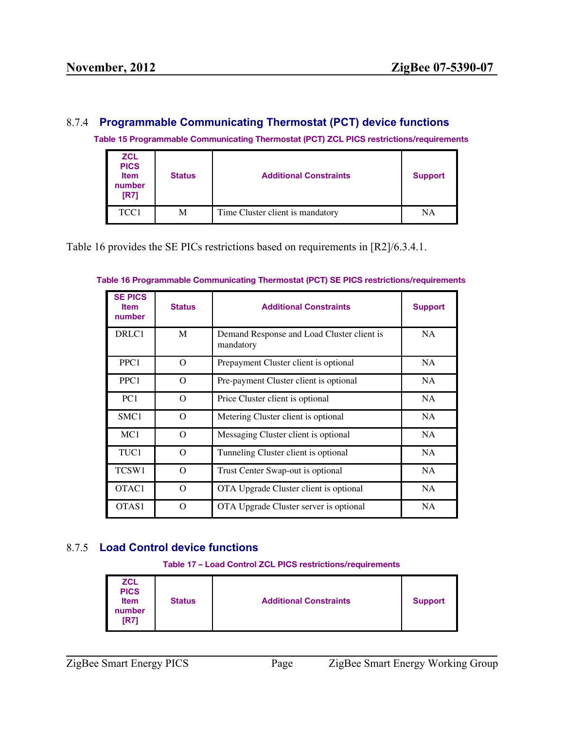# <span id="page-27-0"></span>8.7.4 **Programmable Communicating Thermostat (PCT) device functions**

**Table 15 Programmable Communicating Thermostat (PCT) ZCL PICS restrictions/requirements**

| <b>ZCL</b><br><b>PICS</b><br><b>Item</b><br>number<br>[R7] | <b>Status</b> | <b>Additional Constraints</b>    | <b>Support</b> |
|------------------------------------------------------------|---------------|----------------------------------|----------------|
| TCC1                                                       | М             | Time Cluster client is mandatory | NA             |

Table 16 provides the SE PICs restrictions based on requirements in [R2]/6.3.4.1.

| <b>SE PICS</b><br><b>Item</b><br>number | <b>Status</b> | <b>Additional Constraints</b>                           | <b>Support</b> |
|-----------------------------------------|---------------|---------------------------------------------------------|----------------|
| DRLC1                                   | M             | Demand Response and Load Cluster client is<br>mandatory | <b>NA</b>      |
| PPC <sub>1</sub>                        | $\Omega$      | Prepayment Cluster client is optional                   | NA             |
| PPC <sub>1</sub>                        | $\Omega$      | Pre-payment Cluster client is optional                  | NA             |
| PC <sub>1</sub>                         | $\Omega$      | Price Cluster client is optional                        | NA.            |
| SMC <sub>1</sub>                        | $\Omega$      | Metering Cluster client is optional                     | <b>NA</b>      |
| MC1                                     | $\Omega$      | Messaging Cluster client is optional                    | NA.            |
| TUC1                                    | $\Omega$      | Tunneling Cluster client is optional                    | <b>NA</b>      |
| TCSW1                                   | $\Omega$      | Trust Center Swap-out is optional                       | NA             |
| OTAC <sub>1</sub>                       | $\Omega$      | OTA Upgrade Cluster client is optional                  | NA             |
| OTAS1                                   | $\Omega$      | OTA Upgrade Cluster server is optional                  | NA.            |

### **Table 16 Programmable Communicating Thermostat (PCT) SE PICS restrictions/requirements**

# <span id="page-27-1"></span>8.7.5 **Load Control device functions**

#### **Table 17 – Load Control ZCL PICS restrictions/requirements**

| <b>ZCL</b><br><b>PICS</b><br><b>Status</b><br><b>Item</b><br>number<br>[R7] | <b>Additional Constraints</b> | <b>Support</b> |
|-----------------------------------------------------------------------------|-------------------------------|----------------|
|-----------------------------------------------------------------------------|-------------------------------|----------------|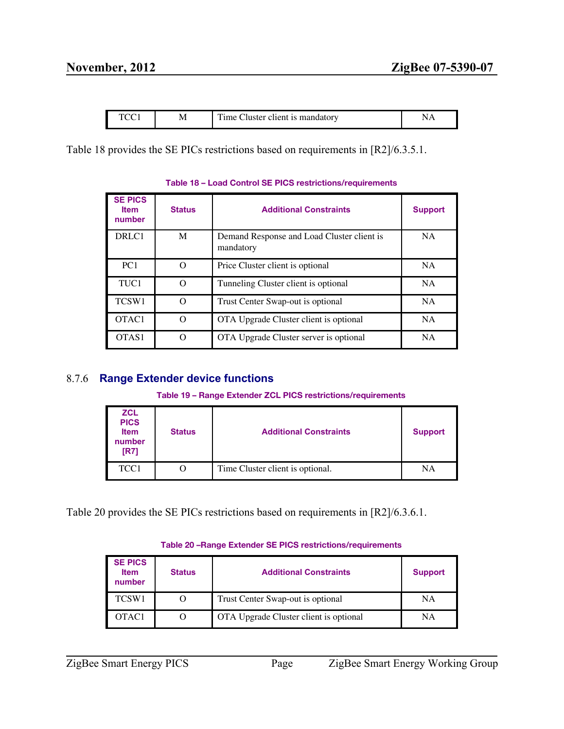|  | M | $\sim$<br>luster client is mandatory<br>∵me t⊥ |  |
|--|---|------------------------------------------------|--|
|--|---|------------------------------------------------|--|

Table 18 provides the SE PICs restrictions based on requirements in [R2]/6.3.5.1.

| <b>SE PICS</b><br><b>Item</b><br>number | <b>Status</b> | <b>Additional Constraints</b>                           | <b>Support</b> |
|-----------------------------------------|---------------|---------------------------------------------------------|----------------|
| DRLC1                                   | M             | Demand Response and Load Cluster client is<br>mandatory | <b>NA</b>      |
| PC1                                     | O             | Price Cluster client is optional                        | <b>NA</b>      |
| TUC1                                    | $\Omega$      | Tunneling Cluster client is optional                    | <b>NA</b>      |
| TCSW1                                   | ∩             | Trust Center Swap-out is optional                       | <b>NA</b>      |
| OTAC1                                   | O             | OTA Upgrade Cluster client is optional                  | <b>NA</b>      |
| OTAS1                                   | O             | OTA Upgrade Cluster server is optional                  | <b>NA</b>      |

# **Table 18 – Load Control SE PICS restrictions/requirements**

# <span id="page-28-0"></span>8.7.6 **Range Extender device functions**

| <b>ZCL</b><br><b>PICS</b><br><b>Item</b><br>number<br>[R7] | <b>Status</b> | <b>Additional Constraints</b>    | <b>Support</b> |
|------------------------------------------------------------|---------------|----------------------------------|----------------|
| TCC1                                                       | $\lambda$     | Time Cluster client is optional. | NA             |

Table 20 provides the SE PICs restrictions based on requirements in [R2]/6.3.6.1.

### **Table 20 –Range Extender SE PICS restrictions/requirements**

| <b>SE PICS</b><br><b>Item</b><br>number | <b>Status</b> | <b>Additional Constraints</b>          | <b>Support</b> |
|-----------------------------------------|---------------|----------------------------------------|----------------|
| TCSW1                                   |               | Trust Center Swap-out is optional      | NA             |
| OTAC <sub>1</sub>                       |               | OTA Upgrade Cluster client is optional | NA             |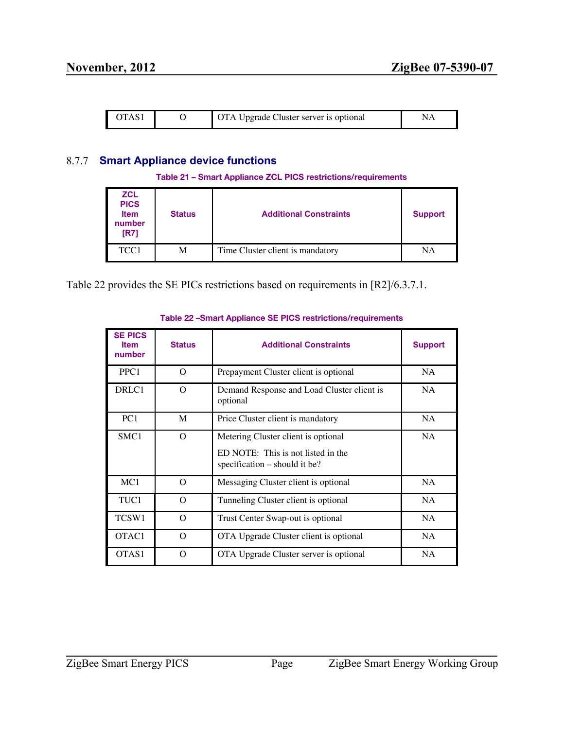| OTAS <sup>-</sup> |  | <b>OTA Upgrade Cluster server is optional</b> |  |
|-------------------|--|-----------------------------------------------|--|
|-------------------|--|-----------------------------------------------|--|

# <span id="page-29-0"></span>8.7.7 **Smart Appliance device functions**

|  |  | Table 21 - Smart Appliance ZCL PICS restrictions/requirements |  |
|--|--|---------------------------------------------------------------|--|
|  |  |                                                               |  |

| <b>ZCL</b><br><b>PICS</b><br><b>Item</b><br>number<br>[R7] | <b>Status</b> | <b>Additional Constraints</b>    | <b>Support</b> |
|------------------------------------------------------------|---------------|----------------------------------|----------------|
| TCC1                                                       | М             | Time Cluster client is mandatory | NA             |

Table 22 provides the SE PICs restrictions based on requirements in [R2]/6.3.7.1.

| <b>SE PICS</b><br><b>Item</b><br>number | <b>Status</b> | <b>Additional Constraints</b>                                                                              | <b>Support</b> |
|-----------------------------------------|---------------|------------------------------------------------------------------------------------------------------------|----------------|
| PPC1                                    | O             | Prepayment Cluster client is optional                                                                      | NA             |
| DRLC1                                   | $\Omega$      | Demand Response and Load Cluster client is<br>optional                                                     | NA.            |
| PC <sub>1</sub>                         | M             | Price Cluster client is mandatory                                                                          | NA             |
| SMC <sub>1</sub>                        | O             | Metering Cluster client is optional<br>ED NOTE: This is not listed in the<br>specification – should it be? | <b>NA</b>      |
| MC1                                     | $\Omega$      | Messaging Cluster client is optional                                                                       | <b>NA</b>      |
| TUC1                                    | $\Omega$      | Tunneling Cluster client is optional                                                                       | <b>NA</b>      |
| TCSW1                                   | $\Omega$      | Trust Center Swap-out is optional                                                                          | <b>NA</b>      |
| OTAC <sub>1</sub>                       | $\Omega$      | OTA Upgrade Cluster client is optional                                                                     | NA             |
| OTAS1                                   | $\Omega$      | OTA Upgrade Cluster server is optional                                                                     | NA             |

#### **Table 22 –Smart Appliance SE PICS restrictions/requirements**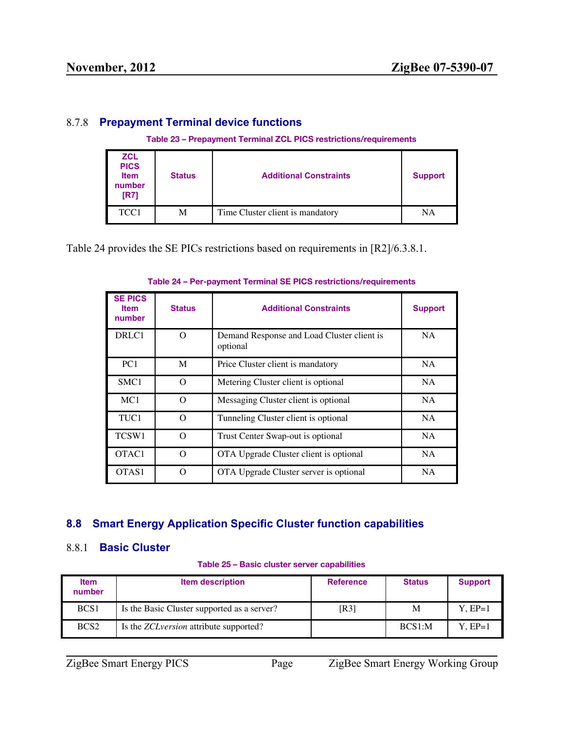# <span id="page-30-0"></span>8.7.8 **Prepayment Terminal device functions**

#### **Table 23 – Prepayment Terminal ZCL PICS restrictions/requirements**

| <b>ZCL</b><br><b>PICS</b><br><b>Item</b><br>number<br>[R7] | <b>Status</b> | <b>Additional Constraints</b>    | <b>Support</b> |
|------------------------------------------------------------|---------------|----------------------------------|----------------|
| TCC1                                                       | М             | Time Cluster client is mandatory | NA             |

Table 24 provides the SE PICs restrictions based on requirements in [R2]/6.3.8.1.

| <b>SE PICS</b><br><b>Item</b><br>number | <b>Status</b> | <b>Additional Constraints</b>                          | <b>Support</b> |
|-----------------------------------------|---------------|--------------------------------------------------------|----------------|
| DRLC1                                   | O             | Demand Response and Load Cluster client is<br>optional | <b>NA</b>      |
| PC <sub>1</sub>                         | M             | Price Cluster client is mandatory                      | <b>NA</b>      |
| SMC <sub>1</sub>                        | $\Omega$      | Metering Cluster client is optional                    | <b>NA</b>      |
| MC <sub>1</sub>                         | O             | Messaging Cluster client is optional                   | NA.            |
| TUC1                                    | $\Omega$      | Tunneling Cluster client is optional                   | <b>NA</b>      |
| TCSW1                                   | O             | Trust Center Swap-out is optional                      | <b>NA</b>      |
| OTAC <sub>1</sub>                       | O             | OTA Upgrade Cluster client is optional                 | <b>NA</b>      |
| OTAS1                                   | $\Omega$      | OTA Upgrade Cluster server is optional                 | <b>NA</b>      |

#### **Table 24 – Per-payment Terminal SE PICS restrictions/requirements**

# <span id="page-30-1"></span>**8.8 Smart Energy Application Specific Cluster function capabilities**

# <span id="page-30-2"></span>8.8.1 **Basic Cluster**

|  |  |  |  | Table 25 - Basic cluster server capabilities |
|--|--|--|--|----------------------------------------------|
|--|--|--|--|----------------------------------------------|

| <b>Item</b><br>number | <b>Item description</b>                        | <b>Reference</b> | <b>Status</b> | <b>Support</b> |
|-----------------------|------------------------------------------------|------------------|---------------|----------------|
| BCS <sub>1</sub>      | Is the Basic Cluster supported as a server?    | [R3]             | M             | $Y.EP=1$       |
| BCS <sub>2</sub>      | Is the <i>ZCL version</i> attribute supported? |                  | BCS1:M        | Y. EP=1        |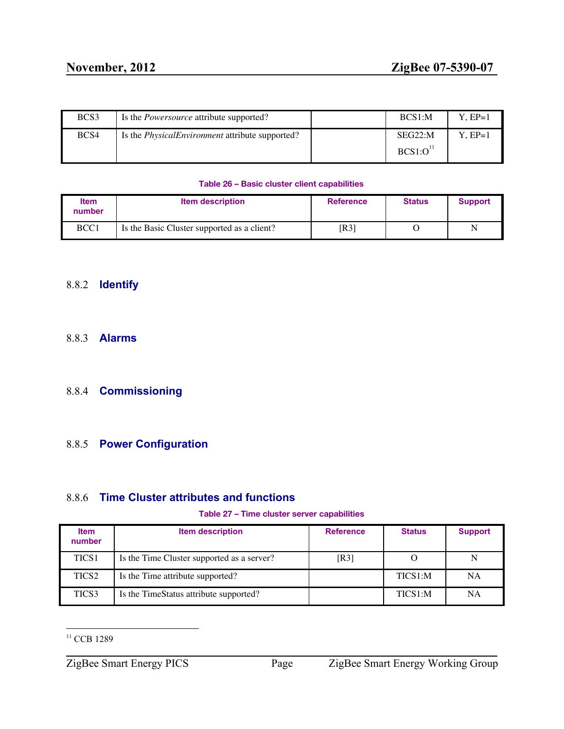| BCS3 | Is the <i>Powersource</i> attribute supported?         | BCS1:M                          | $Y.EP=1$ |
|------|--------------------------------------------------------|---------------------------------|----------|
| BCS4 | Is the <i>PhysicalEnvironment</i> attribute supported? | SEG22:M<br>BCS1:O <sup>11</sup> | Y. EP=1  |

#### **Table 26 – Basic cluster client capabilities**

| <b>Item</b><br>number | <b>Item description</b>                     | <b>Reference</b> | <b>Status</b> | <b>Support</b> |
|-----------------------|---------------------------------------------|------------------|---------------|----------------|
| BCC1                  | Is the Basic Cluster supported as a client? | [R3]             |               | N              |

# <span id="page-31-0"></span>8.8.2 **Identify**

### <span id="page-31-1"></span>8.8.3 **Alarms**

# <span id="page-31-2"></span>8.8.4 **Commissioning**

# <span id="page-31-3"></span>8.8.5 **Power Configuration**

# <span id="page-31-4"></span>8.8.6 **Time Cluster attributes and functions**

#### **Table 27 – Time cluster server capabilities**

| <b>Item</b><br>number | <b>Item description</b>                    | <b>Reference</b> | <b>Status</b> | <b>Support</b> |
|-----------------------|--------------------------------------------|------------------|---------------|----------------|
| TICS <sub>1</sub>     | Is the Time Cluster supported as a server? | [R3]             |               | N              |
| TICS <sub>2</sub>     | Is the Time attribute supported?           |                  | TICS1:M       | NA             |
| TICS3                 | Is the TimeStatus attribute supported?     |                  | TICS1:M       | NA             |

<sup>&</sup>lt;sup>11</sup> CCB 1289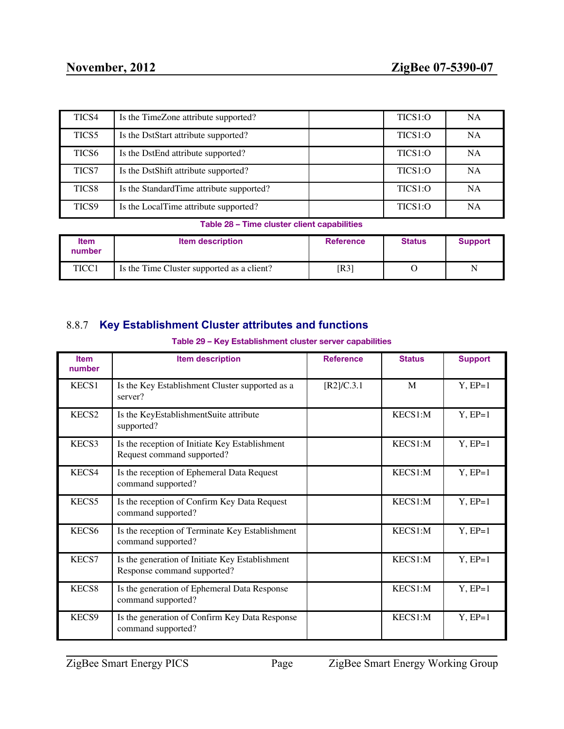| TICS4             | Is the TimeZone attribute supported?     | TICS1:O | <b>NA</b> |
|-------------------|------------------------------------------|---------|-----------|
| TICS <sub>5</sub> | Is the DstStart attribute supported?     | TICS1:O | <b>NA</b> |
| TICS <sub>6</sub> | Is the DstEnd attribute supported?       | TICS1:O | <b>NA</b> |
| <b>TICS7</b>      | Is the DstShift attribute supported?     | TICS1:O | NА        |
| TICS <sub>8</sub> | Is the StandardTime attribute supported? | TICS1:O | NА        |
| TICS9             | Is the LocalTime attribute supported?    | TICS1:O | NА        |

#### **Table 28 – Time cluster client capabilities**

| <b>Item</b><br>number | <b>Item description</b>                    | <b>Reference</b> | <b>Status</b> | <b>Support</b> |
|-----------------------|--------------------------------------------|------------------|---------------|----------------|
| TICC1                 | Is the Time Cluster supported as a client? | [R3]             |               | N              |

# <span id="page-32-0"></span>8.8.7 **Key Establishment Cluster attributes and functions**

#### **Table 29 – Key Establishment cluster server capabilities**

| <b>Item</b><br>number | <b>Item description</b>                                                        | <b>Reference</b> | <b>Status</b> | <b>Support</b> |
|-----------------------|--------------------------------------------------------------------------------|------------------|---------------|----------------|
| KECS1                 | Is the Key Establishment Cluster supported as a<br>server?                     | [R2] / C.3.1     | M             | $Y, EP=1$      |
| KECS <sub>2</sub>     | Is the KeyEstablishmentSuite attribute<br>supported?                           |                  | KECS1:M       | $Y, EP=1$      |
| KECS3                 | Is the reception of Initiate Key Establishment<br>Request command supported?   |                  | KECS1:M       | $Y, EP=1$      |
| KECS4                 | Is the reception of Ephemeral Data Request<br>command supported?               |                  | KECS1:M       | $Y, EP=1$      |
| KECS5                 | Is the reception of Confirm Key Data Request<br>command supported?             |                  | KECS1:M       | $Y, EP=1$      |
| KECS <sub>6</sub>     | Is the reception of Terminate Key Establishment<br>command supported?          |                  | KECS1:M       | $Y, EP=1$      |
| KECS7                 | Is the generation of Initiate Key Establishment<br>Response command supported? |                  | KECS1:M       | $Y, EP=1$      |
| KECS8                 | Is the generation of Ephemeral Data Response<br>command supported?             |                  | KECS1:M       | $Y, EP=1$      |
| KECS9                 | Is the generation of Confirm Key Data Response<br>command supported?           |                  | KECS1:M       | $Y, EP=1$      |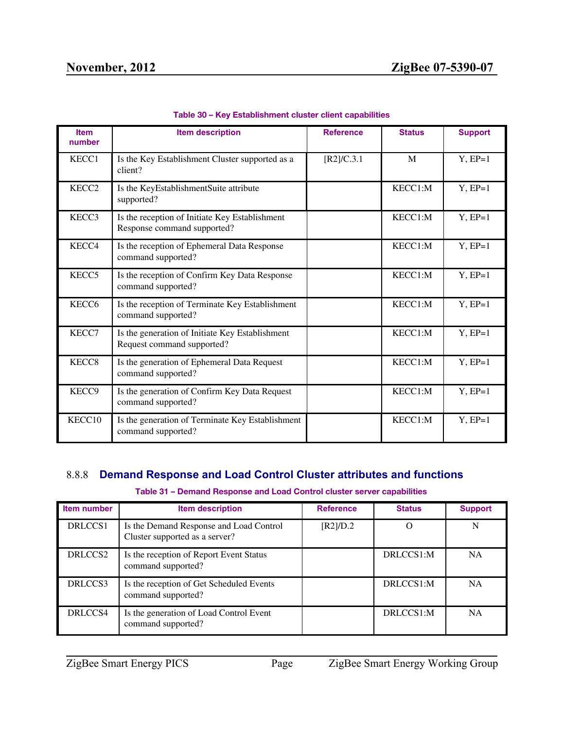| <b>Item</b><br>number | <b>Item description</b>                                                       | <b>Reference</b> | <b>Status</b> | <b>Support</b> |
|-----------------------|-------------------------------------------------------------------------------|------------------|---------------|----------------|
| KECC1                 | Is the Key Establishment Cluster supported as a<br>client?                    | [R2]/C.3.1       | M             | $Y, EP=1$      |
| KECC <sub>2</sub>     | Is the KeyEstablishmentSuite attribute<br>supported?                          |                  | KECC1:M       | $Y, EP=1$      |
| KECC3                 | Is the reception of Initiate Key Establishment<br>Response command supported? |                  | KECC1:M       | $Y, EP=1$      |
| KECC4                 | Is the reception of Ephemeral Data Response<br>command supported?             |                  | KECC1:M       | $Y, EP=1$      |
| KECC <sub>5</sub>     | Is the reception of Confirm Key Data Response<br>command supported?           |                  | KECC1:M       | $Y, EP=1$      |
| KECC <sub>6</sub>     | Is the reception of Terminate Key Establishment<br>command supported?         |                  | KECC1:M       | $Y, EP=1$      |
| KECC7                 | Is the generation of Initiate Key Establishment<br>Request command supported? |                  | KECC1:M       | $Y, EP=1$      |
| KECC <sub>8</sub>     | Is the generation of Ephemeral Data Request<br>command supported?             |                  | KECC1:M       | $Y, EP=1$      |
| KECC9                 | Is the generation of Confirm Key Data Request<br>command supported?           |                  | KECC1:M       | $Y, EP=1$      |
| KECC10                | Is the generation of Terminate Key Establishment<br>command supported?        |                  | KECC1:M       | $Y, EP=1$      |

**Table 30 – Key Establishment cluster client capabilities**

# <span id="page-33-0"></span>8.8.8 **Demand Response and Load Control Cluster attributes and functions**

#### **Table 31 – Demand Response and Load Control cluster server capabilities**

| Item number         | Item description                                                          | <b>Reference</b> | <b>Status</b> | <b>Support</b> |
|---------------------|---------------------------------------------------------------------------|------------------|---------------|----------------|
| DRLCCS1             | Is the Demand Response and Load Control<br>Cluster supported as a server? | [R2]/D.2         | $\Omega$      | N              |
| DRLCCS <sub>2</sub> | Is the reception of Report Event Status<br>command supported?             |                  | DRLCCS1:M     | <b>NA</b>      |
| DRLCCS3             | Is the reception of Get Scheduled Events<br>command supported?            |                  | DRLCCS1:M     | <b>NA</b>      |
| DRLCCS4             | Is the generation of Load Control Event<br>command supported?             |                  | DRLCCS1:M     | <b>NA</b>      |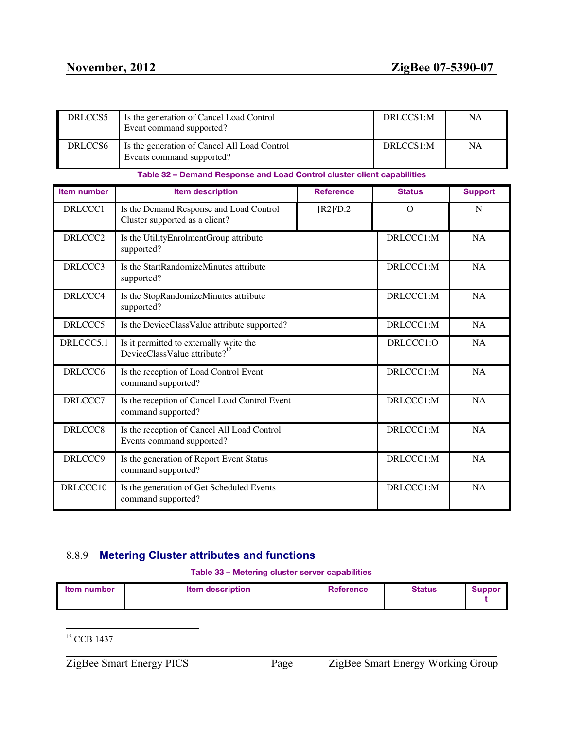| DRLCCS5            | Is the generation of Cancel Load Control<br>Event command supported?                 |                  | DRLCCS1:M     | <b>NA</b>      |
|--------------------|--------------------------------------------------------------------------------------|------------------|---------------|----------------|
| DRLCCS6            | Is the generation of Cancel All Load Control<br>Events command supported?            |                  | DRLCCS1:M     | <b>NA</b>      |
|                    | Table 32 - Demand Response and Load Control cluster client capabilities              |                  |               |                |
| <b>Item number</b> | <b>Item description</b>                                                              | <b>Reference</b> | <b>Status</b> | <b>Support</b> |
| DRLCCC1            | Is the Demand Response and Load Control<br>Cluster supported as a client?            | [R2]/D.2         | $\Omega$      | $\mathbf N$    |
| DRLCCC2            | Is the UtilityEnrolmentGroup attribute<br>supported?                                 |                  | DRLCCC1:M     | <b>NA</b>      |
| DRLCCC3            | Is the StartRandomizeMinutes attribute<br>supported?                                 |                  | DRLCCC1:M     | <b>NA</b>      |
| DRLCCC4            | Is the StopRandomizeMinutes attribute<br>supported?                                  |                  | DRLCCC1:M     | <b>NA</b>      |
| DRLCCC5            | Is the DeviceClassValue attribute supported?                                         |                  | DRLCCC1:M     | <b>NA</b>      |
| DRLCCC5.1          | Is it permitted to externally write the<br>DeviceClassValue attribute? <sup>12</sup> |                  | DRLCCC1:O     | <b>NA</b>      |
| DRLCCC6            | Is the reception of Load Control Event<br>command supported?                         |                  | DRLCCC1:M     | <b>NA</b>      |
| DRLCCC7            | Is the reception of Cancel Load Control Event<br>command supported?                  |                  | DRLCCC1:M     | <b>NA</b>      |
| DRLCCC8            | Is the reception of Cancel All Load Control<br>Events command supported?             |                  | DRLCCC1:M     | NA             |
| DRLCCC9            | Is the generation of Report Event Status<br>command supported?                       |                  | DRLCCC1:M     | NA             |
| DRLCCC10           | Is the generation of Get Scheduled Events<br>command supported?                      |                  | DRLCCC1:M     | NA             |

# <span id="page-34-0"></span>8.8.9 **Metering Cluster attributes and functions**

**Table 33 – Metering cluster server capabilities**

| <b>Item description</b><br>Status<br><b>Reference</b><br><b>Item number</b><br><b>Suppor</b> |
|----------------------------------------------------------------------------------------------|
|----------------------------------------------------------------------------------------------|

<sup>12</sup> CCB 1437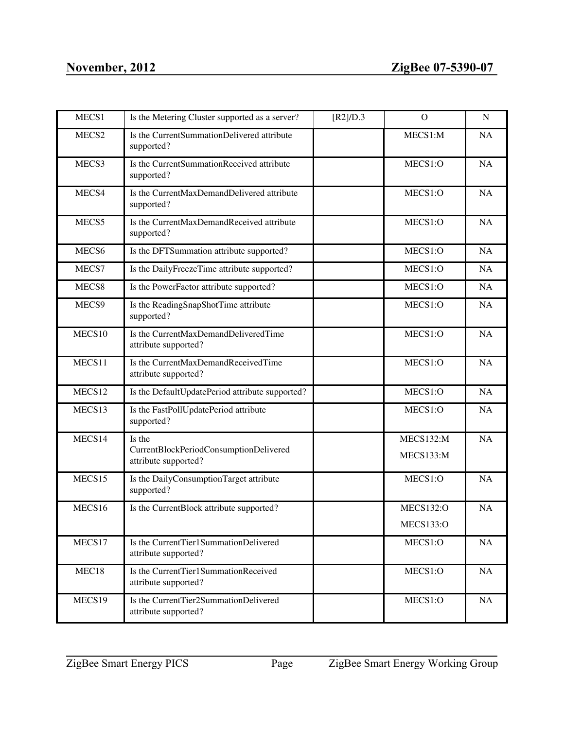| MECS1             | Is the Metering Cluster supported as a server?                 | [R2]/D.3 | $\mathcal{O}$    | $\mathbf N$ |
|-------------------|----------------------------------------------------------------|----------|------------------|-------------|
| MECS2             | Is the CurrentSummationDelivered attribute<br>supported?       |          | MECS1:M          | NA          |
| MECS3             | Is the CurrentSummationReceived attribute<br>supported?        |          | MECS1:O          | <b>NA</b>   |
| MECS4             | Is the CurrentMaxDemandDelivered attribute<br>supported?       |          | MECS1:O          | NA          |
| MECS5             | Is the CurrentMaxDemandReceived attribute<br>supported?        |          | MECS1:O          | <b>NA</b>   |
| MECS <sub>6</sub> | Is the DFTSummation attribute supported?                       |          | MECS1:O          | NA          |
| MECS7             | Is the DailyFreezeTime attribute supported?                    |          | MECS1:O          | <b>NA</b>   |
| MECS8             | Is the PowerFactor attribute supported?                        |          | MECS1:O          | NA          |
| MECS9             | Is the ReadingSnapShotTime attribute<br>supported?             |          | MECS1:O          | NA          |
| MECS10            | Is the CurrentMaxDemandDeliveredTime<br>attribute supported?   |          | MECS1:O          | <b>NA</b>   |
| MECS11            | Is the CurrentMaxDemandReceivedTime<br>attribute supported?    |          | MECS1:O          | NA          |
| MECS12            | Is the DefaultUpdatePeriod attribute supported?                |          | MECS1:O          | NA          |
| MECS13            | Is the FastPollUpdatePeriod attribute<br>supported?            |          | MECS1:O          | <b>NA</b>   |
| MECS14            | Is the                                                         |          | MECS132:M        | <b>NA</b>   |
|                   | CurrentBlockPeriodConsumptionDelivered<br>attribute supported? |          | MECS133:M        |             |
| MECS15            | Is the DailyConsumptionTarget attribute<br>supported?          |          | MECS1:O          | <b>NA</b>   |
| MECS16            | Is the CurrentBlock attribute supported?                       |          | <b>MECS132:O</b> | <b>NA</b>   |
|                   |                                                                |          | <b>MECS133:O</b> |             |
| MECS17            | Is the CurrentTier1SummationDelivered<br>attribute supported?  |          | MECS1:O          | NA          |
| MEC18             | Is the CurrentTier1SummationReceived<br>attribute supported?   |          | MECS1:O          | NA          |
| MECS19            | Is the CurrentTier2SummationDelivered<br>attribute supported?  |          | MECS1:O          | NA          |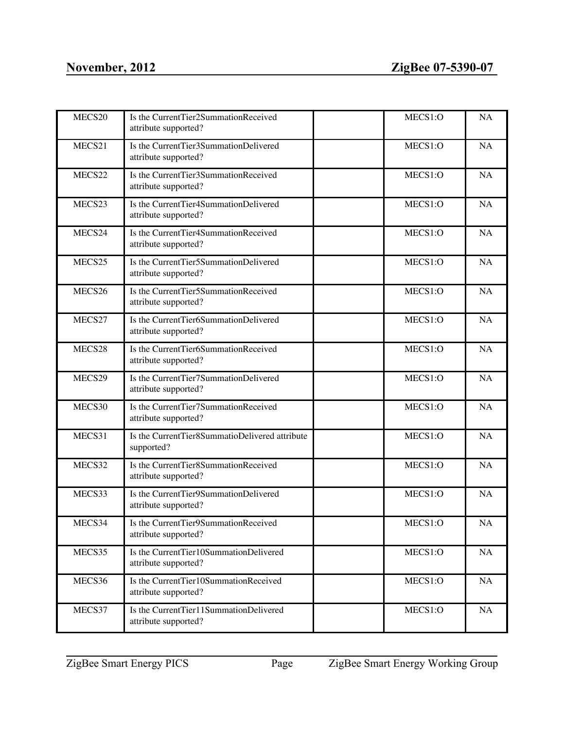| MECS20 | Is the CurrentTier2SummationReceived<br>attribute supported?   | MECS1:O | <b>NA</b> |
|--------|----------------------------------------------------------------|---------|-----------|
| MECS21 | Is the CurrentTier3SummationDelivered<br>attribute supported?  | MECS1:O | <b>NA</b> |
| MECS22 | Is the CurrentTier3SummationReceived<br>attribute supported?   | MECS1:O | <b>NA</b> |
| MECS23 | Is the CurrentTier4SummationDelivered<br>attribute supported?  | MECS1:O | NA        |
| MECS24 | Is the CurrentTier4SummationReceived<br>attribute supported?   | MECS1:O | <b>NA</b> |
| MECS25 | Is the CurrentTier5SummationDelivered<br>attribute supported?  | MECS1:O | <b>NA</b> |
| MECS26 | Is the CurrentTier5SummationReceived<br>attribute supported?   | MECS1:O | <b>NA</b> |
| MECS27 | Is the CurrentTier6SummationDelivered<br>attribute supported?  | MECS1:O | <b>NA</b> |
| MECS28 | Is the CurrentTier6SummationReceived<br>attribute supported?   | MECS1:O | <b>NA</b> |
| MECS29 | Is the CurrentTier7SummationDelivered<br>attribute supported?  | MECS1:O | <b>NA</b> |
| MECS30 | Is the CurrentTier7SummationReceived<br>attribute supported?   | MECS1:O | <b>NA</b> |
| MECS31 | Is the CurrentTier8SummatioDelivered attribute<br>supported?   | MECS1:O | NA        |
| MECS32 | Is the CurrentTier8SummationReceived<br>attribute supported?   | MECS1:O | <b>NA</b> |
| MECS33 | Is the CurrentTier9SummationDelivered<br>attribute supported?  | MECS1:O | <b>NA</b> |
| MECS34 | Is the CurrentTier9SummationReceived<br>attribute supported?   | MECS1:O | <b>NA</b> |
| MECS35 | Is the CurrentTier10SummationDelivered<br>attribute supported? | MECS1:O | $\rm NA$  |
| MECS36 | Is the CurrentTier10SummationReceived<br>attribute supported?  | MECS1:O | NA        |
| MECS37 | Is the CurrentTier11SummationDelivered<br>attribute supported? | MECS1:O | NA        |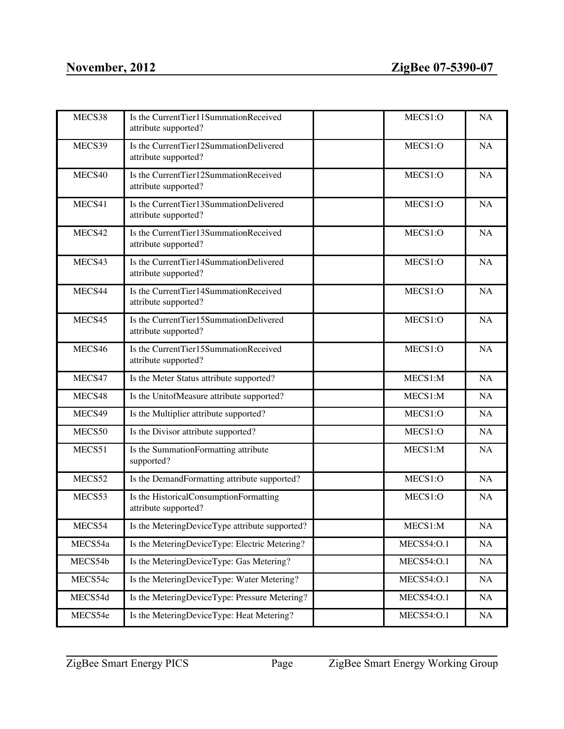| MECS38  | Is the CurrentTier11SummationReceived<br>attribute supported?  | MECS1:O           | <b>NA</b> |
|---------|----------------------------------------------------------------|-------------------|-----------|
| MECS39  | Is the CurrentTier12SummationDelivered<br>attribute supported? | MECS1:O           | <b>NA</b> |
| MECS40  | Is the CurrentTier12SummationReceived<br>attribute supported?  | MECS1:O           | <b>NA</b> |
| MECS41  | Is the CurrentTier13SummationDelivered<br>attribute supported? | MECS1:O           | NA        |
| MECS42  | Is the CurrentTier13SummationReceived<br>attribute supported?  | MECS1:O           | <b>NA</b> |
| MECS43  | Is the CurrentTier14SummationDelivered<br>attribute supported? | MECS1:O           | <b>NA</b> |
| MECS44  | Is the CurrentTier14SummationReceived<br>attribute supported?  | MECS1:O           | <b>NA</b> |
| MECS45  | Is the CurrentTier15SummationDelivered<br>attribute supported? | MECS1:O           | <b>NA</b> |
| MECS46  | Is the CurrentTier15SummationReceived<br>attribute supported?  | MECS1:O           | <b>NA</b> |
| MECS47  | Is the Meter Status attribute supported?                       | MECS1:M           | <b>NA</b> |
| MECS48  | Is the UnitofMeasure attribute supported?                      | MECS1:M           | <b>NA</b> |
| MECS49  | Is the Multiplier attribute supported?                         | MECS1:O           | NA        |
| MECS50  | Is the Divisor attribute supported?                            | MECS1:O           | <b>NA</b> |
| MECS51  | Is the SummationFormatting attribute<br>supported?             | MECS1:M           | <b>NA</b> |
| MECS52  | Is the DemandFormatting attribute supported?                   | MECS1:O           | NA        |
| MECS53  | Is the HistoricalConsumptionFormatting<br>attribute supported? | MECS1:O           | <b>NA</b> |
| MECS54  | Is the MeteringDeviceType attribute supported?                 | MECS1:M           | NA        |
| MECS54a | Is the MeteringDeviceType: Electric Metering?                  | <b>MECS54:O.1</b> | NA        |
| MECS54b | Is the MeteringDeviceType: Gas Metering?                       | <b>MECS54:O.1</b> | NA        |
| MECS54c | Is the MeteringDeviceType: Water Metering?                     | <b>MECS54:O.1</b> | NA        |
| MECS54d | Is the MeteringDeviceType: Pressure Metering?                  | <b>MECS54:O.1</b> | NA        |
| MECS54e | Is the MeteringDeviceType: Heat Metering?                      | <b>MECS54:O.1</b> | NA        |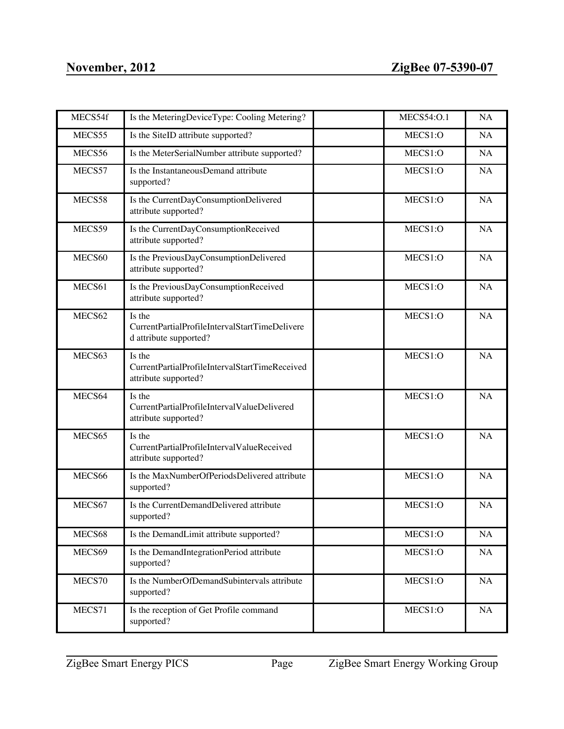| MECS54f | Is the MeteringDeviceType: Cooling Metering?                                       | <b>MECS54:O.1</b> | <b>NA</b> |
|---------|------------------------------------------------------------------------------------|-------------------|-----------|
| MECS55  | Is the SiteID attribute supported?                                                 | MECS1:O           | <b>NA</b> |
| MECS56  | Is the MeterSerialNumber attribute supported?                                      | MECS1:O           | <b>NA</b> |
| MECS57  | Is the InstantaneousDemand attribute<br>supported?                                 | MECS1:O           | <b>NA</b> |
| MECS58  | Is the CurrentDayConsumptionDelivered<br>attribute supported?                      | MECS1:O           | <b>NA</b> |
| MECS59  | Is the CurrentDayConsumptionReceived<br>attribute supported?                       | MECS1:O           | <b>NA</b> |
| MECS60  | Is the PreviousDayConsumptionDelivered<br>attribute supported?                     | MECS1:O           | <b>NA</b> |
| MECS61  | Is the PreviousDayConsumptionReceived<br>attribute supported?                      | MECS1:O           | <b>NA</b> |
| MECS62  | Is the<br>CurrentPartialProfileIntervalStartTimeDelivere<br>d attribute supported? | MECS1:O           | <b>NA</b> |
| MECS63  | Is the<br>CurrentPartialProfileIntervalStartTimeReceived<br>attribute supported?   | MECS1:O           | <b>NA</b> |
| MECS64  | Is the<br>CurrentPartialProfileIntervalValueDelivered<br>attribute supported?      | MECS1:O           | <b>NA</b> |
| MECS65  | Is the<br>CurrentPartialProfileIntervalValueReceived<br>attribute supported?       | MECS1:O           | <b>NA</b> |
| MECS66  | Is the MaxNumberOfPeriodsDelivered attribute<br>supported?                         | MECS1:O           | <b>NA</b> |
| MECS67  | Is the CurrentDemandDelivered attribute<br>supported?                              | MECS1:O           | <b>NA</b> |
| MECS68  | Is the DemandLimit attribute supported?                                            | MECS1:O           | NA        |
| MECS69  | Is the DemandIntegrationPeriod attribute<br>supported?                             | MECS1:O           | NA        |
| MECS70  | Is the NumberOfDemandSubintervals attribute<br>supported?                          | MECS1:O           | NA        |
| MECS71  | Is the reception of Get Profile command<br>supported?                              | MECS1:O           | NA        |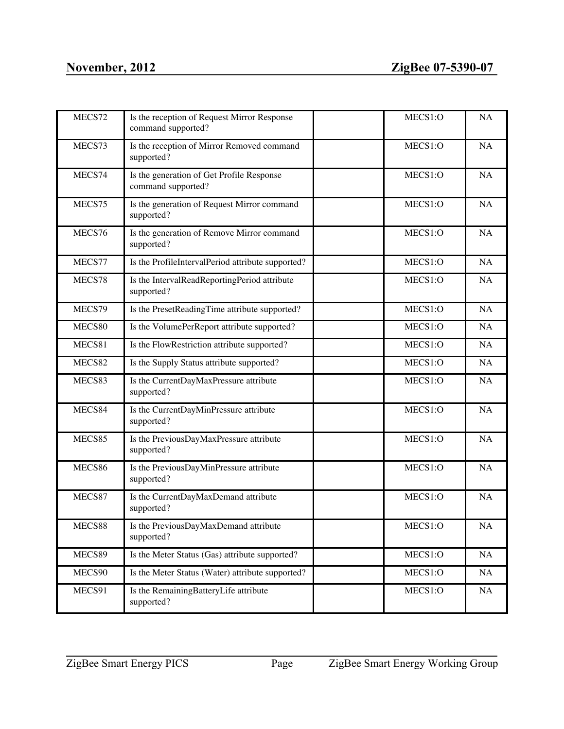| MECS72 | Is the reception of Request Mirror Response<br>command supported? | MECS1:O | <b>NA</b> |
|--------|-------------------------------------------------------------------|---------|-----------|
| MECS73 | Is the reception of Mirror Removed command<br>supported?          | MECS1:O | <b>NA</b> |
| MECS74 | Is the generation of Get Profile Response<br>command supported?   | MECS1:O | <b>NA</b> |
| MECS75 | Is the generation of Request Mirror command<br>supported?         | MECS1:O | NA        |
| MECS76 | Is the generation of Remove Mirror command<br>supported?          | MECS1:O | <b>NA</b> |
| MECS77 | Is the ProfileIntervalPeriod attribute supported?                 | MECS1:O | NA        |
| MECS78 | Is the IntervalReadReportingPeriod attribute<br>supported?        | MECS1:O | NA        |
| MECS79 | Is the PresetReadingTime attribute supported?                     | MECS1:O | NA        |
| MECS80 | Is the VolumePerReport attribute supported?                       | MECS1:O | <b>NA</b> |
| MECS81 | Is the FlowRestriction attribute supported?                       | MECS1:O | NA        |
| MECS82 | Is the Supply Status attribute supported?                         | MECS1:O | NA        |
| MECS83 | Is the CurrentDayMaxPressure attribute<br>supported?              | MECS1:O | NA        |
| MECS84 | Is the CurrentDayMinPressure attribute<br>supported?              | MECS1:O | <b>NA</b> |
| MECS85 | Is the PreviousDayMaxPressure attribute<br>supported?             | MECS1:O | <b>NA</b> |
| MECS86 | Is the PreviousDayMinPressure attribute<br>supported?             | MECS1:O | <b>NA</b> |
| MECS87 | Is the CurrentDayMaxDemand attribute<br>supported?                | MECS1:O | <b>NA</b> |
| MECS88 | Is the PreviousDayMaxDemand attribute<br>supported?               | MECS1:O | <b>NA</b> |
| MECS89 | Is the Meter Status (Gas) attribute supported?                    | MECS1:O | NA        |
| MECS90 | Is the Meter Status (Water) attribute supported?                  | MECS1:O | NA        |
| MECS91 | Is the RemainingBatteryLife attribute<br>supported?               | MECS1:O | NA        |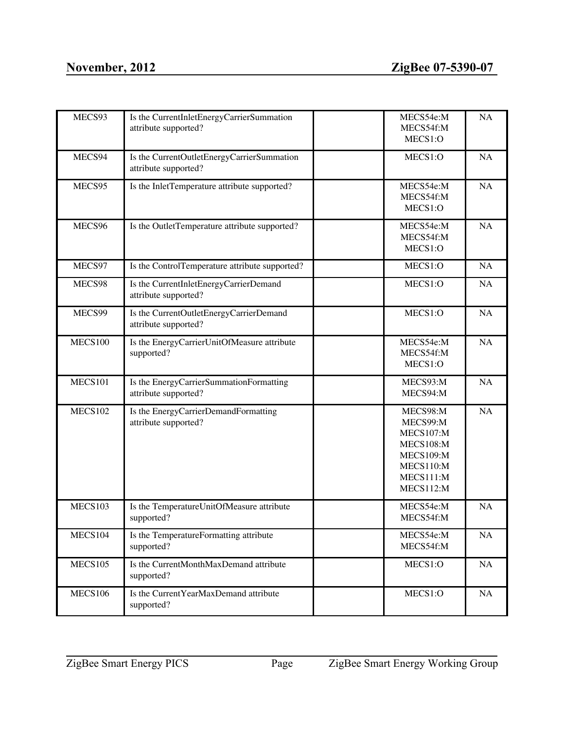| MECS93         | Is the CurrentInletEnergyCarrierSummation<br>attribute supported?  | MECS54e:M<br>MECS54f:M<br>MECS1:O                                                                                | <b>NA</b> |
|----------------|--------------------------------------------------------------------|------------------------------------------------------------------------------------------------------------------|-----------|
| MECS94         | Is the CurrentOutletEnergyCarrierSummation<br>attribute supported? | MECS1:O                                                                                                          | <b>NA</b> |
| MECS95         | Is the InletTemperature attribute supported?                       | MECS54e:M<br>MECS54f:M<br>MECS1:O                                                                                | NA        |
| MECS96         | Is the OutletTemperature attribute supported?                      | MECS54e:M<br>MECS54f:M<br>MECS1:O                                                                                | <b>NA</b> |
| MECS97         | Is the ControlTemperature attribute supported?                     | MECS1:O                                                                                                          | NA        |
| MECS98         | Is the CurrentInletEnergyCarrierDemand<br>attribute supported?     | MECS1:O                                                                                                          | NA        |
| MECS99         | Is the CurrentOutletEnergyCarrierDemand<br>attribute supported?    | MECS1:O                                                                                                          | NA        |
| <b>MECS100</b> | Is the EnergyCarrierUnitOfMeasure attribute<br>supported?          | MECS54e:M<br>MECS54f:M<br>MECS1:O                                                                                | <b>NA</b> |
| <b>MECS101</b> | Is the EnergyCarrierSummationFormatting<br>attribute supported?    | MECS93:M<br>MECS94:M                                                                                             | NA        |
| <b>MECS102</b> | Is the EnergyCarrierDemandFormatting<br>attribute supported?       | MECS98:M<br>MECS99:M<br>MECS107:M<br><b>MECS108:M</b><br><b>MECS109:M</b><br>MECS110:M<br>MECS111:M<br>MECS112:M | <b>NA</b> |
| MECS103        | Is the TemperatureUnitOfMeasure attribute<br>supported?            | MECS54e:M<br>MECS54f:M                                                                                           | <b>NA</b> |
| MECS104        | Is the TemperatureFormatting attribute<br>supported?               | MECS54e:M<br>MECS54f:M                                                                                           | $\rm NA$  |
| MECS105        | Is the CurrentMonthMaxDemand attribute<br>supported?               | MECS1:O                                                                                                          | NA        |
| <b>MECS106</b> | Is the Current YearMaxDemand attribute<br>supported?               | MECS1:O                                                                                                          | $\rm NA$  |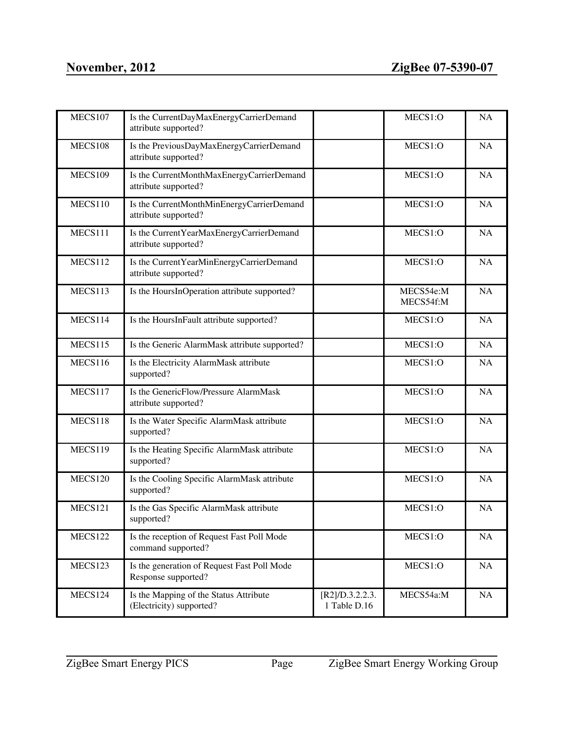| <b>MECS107</b> | Is the CurrentDayMaxEnergyCarrierDemand<br>attribute supported?    |                                 | MECS1:O                | <b>NA</b> |
|----------------|--------------------------------------------------------------------|---------------------------------|------------------------|-----------|
| MECS108        | Is the PreviousDayMaxEnergyCarrierDemand<br>attribute supported?   |                                 | MECS1:O                | <b>NA</b> |
| <b>MECS109</b> | Is the CurrentMonthMaxEnergyCarrierDemand<br>attribute supported?  |                                 | MECS1:O                | <b>NA</b> |
| MECS110        | Is the CurrentMonthMinEnergyCarrierDemand<br>attribute supported?  |                                 | MECS1:O                | <b>NA</b> |
| MECS111        | Is the Current YearMaxEnergyCarrierDemand<br>attribute supported?  |                                 | MECS1:O                | <b>NA</b> |
| MECS112        | Is the Current YearMinEnergyCarrierDemand<br>attribute supported?  |                                 | MECS1:O                | <b>NA</b> |
| MECS113        | Is the HoursInOperation attribute supported?                       |                                 | MECS54e:M<br>MECS54f:M | NA        |
| MECS114        | Is the HoursInFault attribute supported?                           |                                 | MECS1:O                | <b>NA</b> |
| MECS115        | Is the Generic AlarmMask attribute supported?                      |                                 | MECS1:O                | <b>NA</b> |
| <b>MECS116</b> | Is the Electricity AlarmMask attribute<br>supported?               |                                 | MECS1:O                | <b>NA</b> |
| MECS117        | Is the GenericFlow/Pressure AlarmMask<br>attribute supported?      |                                 | MECS1:O                | <b>NA</b> |
| MECS118        | Is the Water Specific AlarmMask attribute<br>supported?            |                                 | MECS1:O                | <b>NA</b> |
| MECS119        | Is the Heating Specific AlarmMask attribute<br>supported?          |                                 | MECS1:O                | <b>NA</b> |
| MECS120        | Is the Cooling Specific AlarmMask attribute<br>supported?          |                                 | MECS1:O                | <b>NA</b> |
| MECS121        | Is the Gas Specific AlarmMask attribute<br>supported?              |                                 | MECS1:O                | <b>NA</b> |
| MECS122        | Is the reception of Request Fast Poll Mode<br>command supported?   |                                 | MECS1:O                | <b>NA</b> |
| MECS123        | Is the generation of Request Fast Poll Mode<br>Response supported? |                                 | MECS1:O                | NA        |
| MECS124        | Is the Mapping of the Status Attribute<br>(Electricity) supported? | [R2]/D.3.2.2.3.<br>1 Table D.16 | MECS54a:M              | NA        |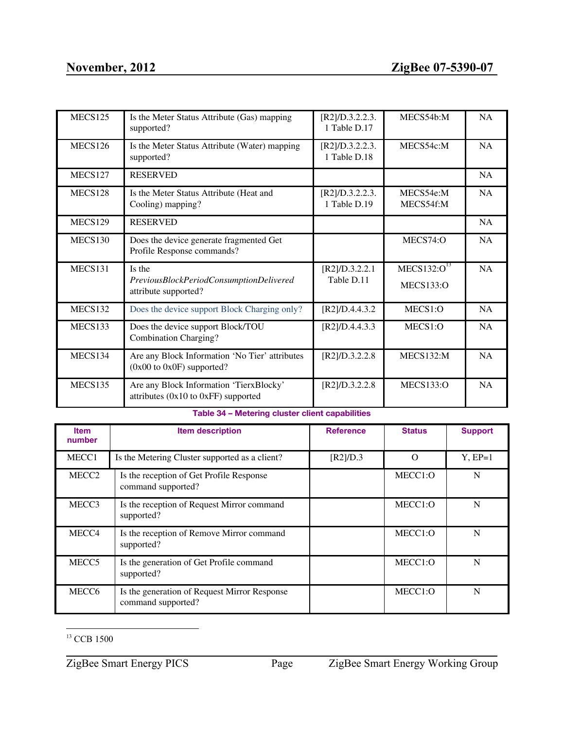| <b>MECS125</b> | Is the Meter Status Attribute (Gas) mapping<br>supported?                          | [R2]/D.3.2.2.3.<br>1 Table D.17 | MECS54b:M                                   | <b>NA</b> |
|----------------|------------------------------------------------------------------------------------|---------------------------------|---------------------------------------------|-----------|
| <b>MECS126</b> | Is the Meter Status Attribute (Water) mapping<br>supported?                        | [R2]/D.3.2.2.3.<br>1 Table D.18 | MECS54c:M                                   | NA        |
| MECS127        | <b>RESERVED</b>                                                                    |                                 |                                             | <b>NA</b> |
| MECS128        | Is the Meter Status Attribute (Heat and<br>Cooling) mapping?                       | [R2]/D.3.2.2.3.<br>1 Table D.19 | MECS54e:M<br>MECS54f:M                      | <b>NA</b> |
| <b>MECS129</b> | <b>RESERVED</b>                                                                    |                                 |                                             | <b>NA</b> |
| <b>MECS130</b> | Does the device generate fragmented Get<br>Profile Response commands?              |                                 | MECS74:O                                    | NA        |
| MECS131        | Is the<br>PreviousBlockPeriodConsumptionDelivered<br>attribute supported?          | [R2]/D.3.2.2.1<br>Table D.11    | MECS132:O <sup>13</sup><br><b>MECS133:O</b> | <b>NA</b> |
| MECS132        | Does the device support Block Charging only?                                       | [R2]/D.4.4.3.2                  | MECS1:O                                     | <b>NA</b> |
| MECS133        | Does the device support Block/TOU<br><b>Combination Charging?</b>                  | [R2]/D.4.4.3.3                  | MECS1:O                                     | <b>NA</b> |
| MECS134        | Are any Block Information 'No Tier' attributes<br>$(0x00)$ to $0x0F$ ) supported?  | [R2]/D.3.2.2.8                  | MECS132:M                                   | <b>NA</b> |
| MECS135        | Are any Block Information 'TierxBlocky'<br>attributes $(0x10$ to $0xFF)$ supported | [R2]/D.3.2.2.8                  | <b>MECS133:O</b>                            | <b>NA</b> |

# **Table 34 – Metering cluster client capabilities**

| <b>Item</b><br>number | <b>Item description</b>                                            | <b>Reference</b> | <b>Status</b> | <b>Support</b> |
|-----------------------|--------------------------------------------------------------------|------------------|---------------|----------------|
| MECC1                 | Is the Metering Cluster supported as a client?                     | [R2]/D.3         | O             | $Y.EP=1$       |
| MECC <sub>2</sub>     | Is the reception of Get Profile Response<br>command supported?     |                  | MECC1:O       | N              |
| MECC <sub>3</sub>     | Is the reception of Request Mirror command<br>supported?           |                  | MECC1:O       | N              |
| MECC4                 | Is the reception of Remove Mirror command<br>supported?            |                  | MECC1:O       | N              |
| MECC <sub>5</sub>     | Is the generation of Get Profile command<br>supported?             |                  | MECC1:O       | N              |
| MECC <sub>6</sub>     | Is the generation of Request Mirror Response<br>command supported? |                  | MECC1:O       | N              |

<sup>&</sup>lt;sup>13</sup> CCB 1500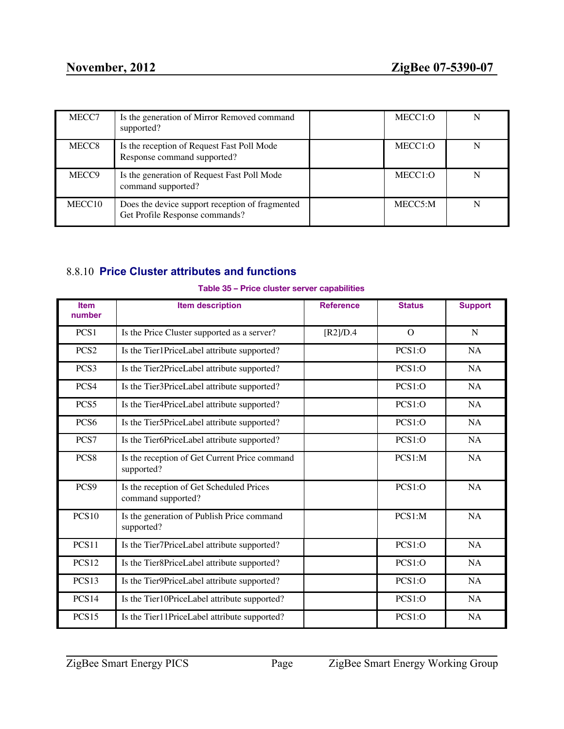| MECC7             | Is the generation of Mirror Removed command<br>supported?                         | MECC <sub>1</sub> :O |  |
|-------------------|-----------------------------------------------------------------------------------|----------------------|--|
| MECC <sub>8</sub> | Is the reception of Request Fast Poll Mode<br>Response command supported?         | MECC1:O              |  |
| MECC <sub>9</sub> | Is the generation of Request Fast Poll Mode<br>command supported?                 | MECC <sub>1</sub> :O |  |
| MECC10            | Does the device support reception of fragmented<br>Get Profile Response commands? | MECC5:M              |  |

# <span id="page-43-0"></span>8.8.10 **Price Cluster attributes and functions**

| <b>Item</b><br>number | <b>Item description</b>                                        | <b>Reference</b> | <b>Status</b> | <b>Support</b> |
|-----------------------|----------------------------------------------------------------|------------------|---------------|----------------|
| PCS1                  | Is the Price Cluster supported as a server?                    | $[R2]/D.4$       | $\Omega$      | N              |
| PCS <sub>2</sub>      | Is the Tier1PriceLabel attribute supported?                    |                  | PCS1:O        | <b>NA</b>      |
| PCS <sub>3</sub>      | Is the Tier2PriceLabel attribute supported?                    |                  | PCS1:O        | NA             |
| PCS4                  | Is the Tier3PriceLabel attribute supported?                    |                  | PCS1:O        | <b>NA</b>      |
| PCS5                  | Is the Tier4PriceLabel attribute supported?                    |                  | PCS1:O        | NA             |
| PCS <sub>6</sub>      | Is the Tier5PriceLabel attribute supported?                    |                  | PCS1:O        | <b>NA</b>      |
| PCS7                  | Is the Tier6PriceLabel attribute supported?                    |                  | PCS1:O        | NA             |
| PCS <sub>8</sub>      | Is the reception of Get Current Price command<br>supported?    |                  | $PCS1:$ M     | <b>NA</b>      |
| PCS9                  | Is the reception of Get Scheduled Prices<br>command supported? |                  | PCS1:O        | NA             |
| <b>PCS10</b>          | Is the generation of Publish Price command<br>supported?       |                  | PCS1:M        | <b>NA</b>      |
| PCS11                 | Is the Tier7PriceLabel attribute supported?                    |                  | PCS1:O        | <b>NA</b>      |
| PCS <sub>12</sub>     | Is the Tier8PriceLabel attribute supported?                    |                  | PCS1:O        | <b>NA</b>      |
| PCS <sub>13</sub>     | Is the Tier9PriceLabel attribute supported?                    |                  | PCS1:O        | <b>NA</b>      |

PCS14 Is the Tier10PriceLabel attribute supported? PCS1:O NA PCS15 Is the Tier11PriceLabel attribute supported? PCS1:O NA

### **Table 35 – Price cluster server capabilities**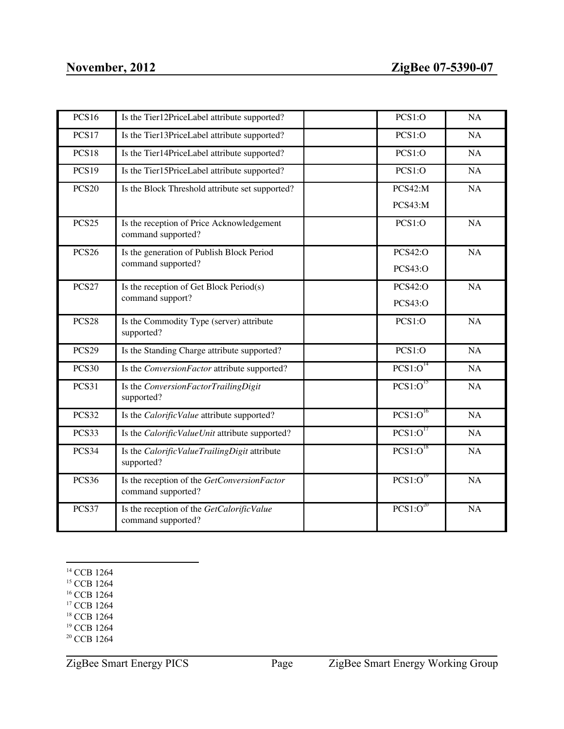| <b>PCS16</b>      | Is the Tier12PriceLabel attribute supported?                      | PCS1:O               | NA |
|-------------------|-------------------------------------------------------------------|----------------------|----|
| PCS17             | Is the Tier13PriceLabel attribute supported?                      | PCS1:O               | NA |
| PCS18             | Is the Tier14PriceLabel attribute supported?                      | PCS1:O               | NA |
| <b>PCS19</b>      | Is the Tier15PriceLabel attribute supported?                      | PCS1:O               | NA |
| <b>PCS20</b>      | Is the Block Threshold attribute set supported?                   | PCS42:M              | NA |
|                   |                                                                   | PCS43:M              |    |
| <b>PCS25</b>      | Is the reception of Price Acknowledgement<br>command supported?   | PCS1:O               | NA |
| <b>PCS26</b>      | Is the generation of Publish Block Period                         | <b>PCS42:O</b>       | NA |
|                   | command supported?                                                | <b>PCS43:O</b>       |    |
| <b>PCS27</b>      | Is the reception of Get Block Period(s)                           | <b>PCS42:O</b>       | NA |
|                   | command support?                                                  | <b>PCS43:O</b>       |    |
| PCS <sub>28</sub> | Is the Commodity Type (server) attribute<br>supported?            | PCS1:O               | NA |
| <b>PCS29</b>      | Is the Standing Charge attribute supported?                       | PCS1:O               | NA |
| <b>PCS30</b>      | Is the ConversionFactor attribute supported?                      | PCS1:O <sup>14</sup> | NA |
| PCS31             | Is the ConversionFactorTrailingDigit<br>supported?                | PCS1:O <sup>15</sup> | NA |
| PCS32             | Is the CalorificValue attribute supported?                        | PCS1:O <sup>16</sup> | NA |
| PCS33             | Is the CalorificValueUnit attribute supported?                    | PCS1:O <sup>17</sup> | NA |
| PCS34             | Is the Calorific ValueTrailingDigit attribute<br>supported?       | PCS1:O <sup>18</sup> | NA |
| PCS36             | Is the reception of the GetConversionFactor<br>command supported? | PCS1:O <sup>19</sup> | NA |
| PCS37             | Is the reception of the GetCalorificValue<br>command supported?   | $PCS1:O^{20}$        | NA |

<sup>14</sup> CCB 1264

<sup>15</sup> CCB 1264

- <sup>16</sup> CCB 1264
- <sup>17</sup> CCB 1264
- <sup>18</sup> CCB 1264
- <sup>19</sup> CCB 1264
- <sup>20</sup> CCB 1264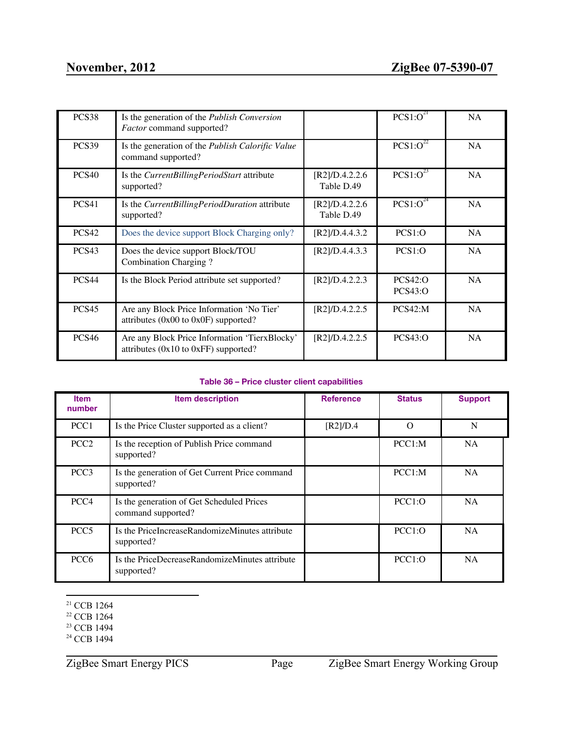| PCS38             | Is the generation of the <i>Publish Conversion</i><br>Factor command supported?           |                              | $PCS1:O^{21}$             | <b>NA</b> |
|-------------------|-------------------------------------------------------------------------------------------|------------------------------|---------------------------|-----------|
| PCS39             | Is the generation of the <i>Publish Calorific Value</i><br>command supported?             |                              | $PCS1:O^{22}$             | <b>NA</b> |
| <b>PCS40</b>      | Is the CurrentBillingPeriodStart attribute<br>supported?                                  | [R2]/D.4.2.2.6<br>Table D.49 | $PCS1:0^{23}$             | <b>NA</b> |
| PCS41             | Is the CurrentBillingPeriodDuration attribute<br>supported?                               | [R2]/D.4.2.2.6<br>Table D.49 | $PCS1:O^{24}$             | <b>NA</b> |
| PCS <sub>42</sub> | Does the device support Block Charging only?                                              | [R2]/D.4.4.3.2               | PCS1:O                    | NA        |
| PCS <sub>43</sub> | Does the device support Block/TOU<br>Combination Charging?                                | [R2]/D.4.4.3.3               | PCS1:O                    | <b>NA</b> |
| PCS <sub>44</sub> | Is the Block Period attribute set supported?                                              | [R2]/D.4.2.2.3               | PCS42:O<br><b>PCS43:O</b> | <b>NA</b> |
| <b>PCS45</b>      | Are any Block Price Information 'No Tier'<br>attributes $(0x00$ to $0x0F)$ supported?     | [R2]/D.4.2.2.5               | PCS42:M                   | <b>NA</b> |
| PCS <sub>46</sub> | Are any Block Price Information 'TierxBlocky'<br>attributes $(0x10$ to $0xFF)$ supported? | [R2]/D.4.2.2.5               | PCS43:O                   | <b>NA</b> |

#### **Table 36 – Price cluster client capabilities**

| <b>Item</b><br>number | <b>Item description</b>                                         | <b>Reference</b> | <b>Status</b> | <b>Support</b> |
|-----------------------|-----------------------------------------------------------------|------------------|---------------|----------------|
| PCC1                  | Is the Price Cluster supported as a client?                     | [R2]/D.4         | $\Omega$      | N              |
| PCC <sub>2</sub>      | Is the reception of Publish Price command<br>supported?         |                  | PCC1:M        | <b>NA</b>      |
| PCC <sub>3</sub>      | Is the generation of Get Current Price command<br>supported?    |                  | PCC1: M       | <b>NA</b>      |
| PCC <sub>4</sub>      | Is the generation of Get Scheduled Prices<br>command supported? |                  | PCC1:O        | <b>NA</b>      |
| PCC <sub>5</sub>      | Is the PriceIncreaseRandomizeMinutes attribute<br>supported?    |                  | PCC1:O        | <b>NA</b>      |
| PCC <sub>6</sub>      | Is the PriceDecreaseRandomizeMinutes attribute<br>supported?    |                  | PCC1:O        | <b>NA</b>      |

<sup>21</sup> CCB 1264

<sup>22</sup> CCB 1264

<sup>&</sup>lt;sup>23</sup> CCB 1494

<sup>&</sup>lt;sup>24</sup> CCB 1494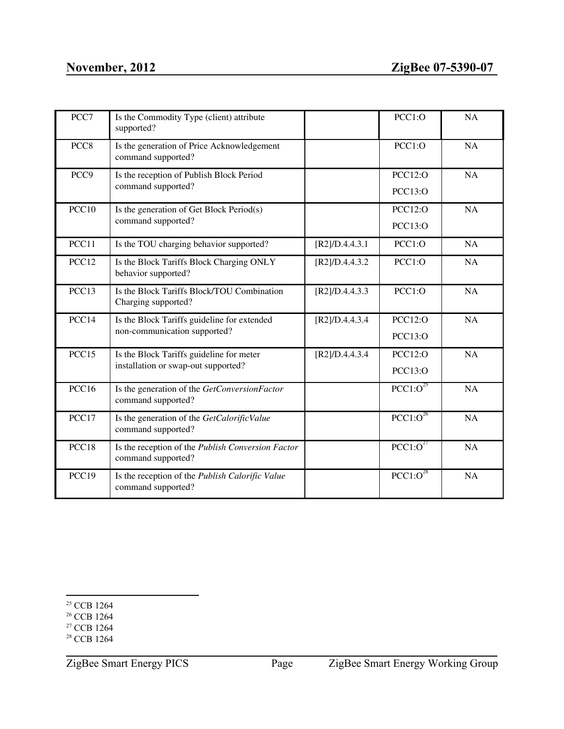| PCC7             | Is the Commodity Type (client) attribute<br>supported?                  |                | PCC1:O               | <b>NA</b> |
|------------------|-------------------------------------------------------------------------|----------------|----------------------|-----------|
| PCC <sub>8</sub> | Is the generation of Price Acknowledgement<br>command supported?        |                | PCC1:O               | NA        |
| PCC <sub>9</sub> | Is the reception of Publish Block Period                                |                | PCC12:O              | NA        |
|                  | command supported?                                                      |                | <b>PCC13:O</b>       |           |
| PCC10            | Is the generation of Get Block Period(s)                                |                | <b>PCC12:O</b>       | NA        |
|                  | command supported?                                                      |                | <b>PCC13:O</b>       |           |
| PCC11            | Is the TOU charging behavior supported?                                 | [R2]/D.4.4.3.1 | PCC1:O               | NA        |
| PCC12            | Is the Block Tariffs Block Charging ONLY<br>behavior supported?         | [R2]/D.4.4.3.2 | PCC1:O               | NA        |
| PCC13            | Is the Block Tariffs Block/TOU Combination<br>Charging supported?       | [R2]/D.4.4.3.3 | PCC1:O               | <b>NA</b> |
| PCC14            | Is the Block Tariffs guideline for extended                             | [R2]/D.4.4.3.4 | <b>PCC12:O</b>       | NA        |
|                  | non-communication supported?                                            |                | <b>PCC13:O</b>       |           |
| PCC15            | Is the Block Tariffs guideline for meter                                | [R2]/D.4.4.3.4 | <b>PCC12:O</b>       | <b>NA</b> |
|                  | installation or swap-out supported?                                     |                | <b>PCC13:O</b>       |           |
| PCC16            | Is the generation of the GetConversionFactor<br>command supported?      |                | $PCC1:O^{25}$        | <b>NA</b> |
| PCC17            | Is the generation of the GetCalorificValue<br>command supported?        |                | $PCC1:O^{26}$        | NA        |
| PCC18            | Is the reception of the Publish Conversion Factor<br>command supported? |                | PCC1:O <sup>27</sup> | <b>NA</b> |
| PCC19            | Is the reception of the Publish Calorific Value<br>command supported?   |                | $PCC1:O^{28}$        | <b>NA</b> |

<sup>27</sup> CCB 1264

<sup>&</sup>lt;sup>25</sup> CCB 1264

<sup>&</sup>lt;sup>26</sup> CCB 1264

<sup>&</sup>lt;sup>28</sup> CCB 1264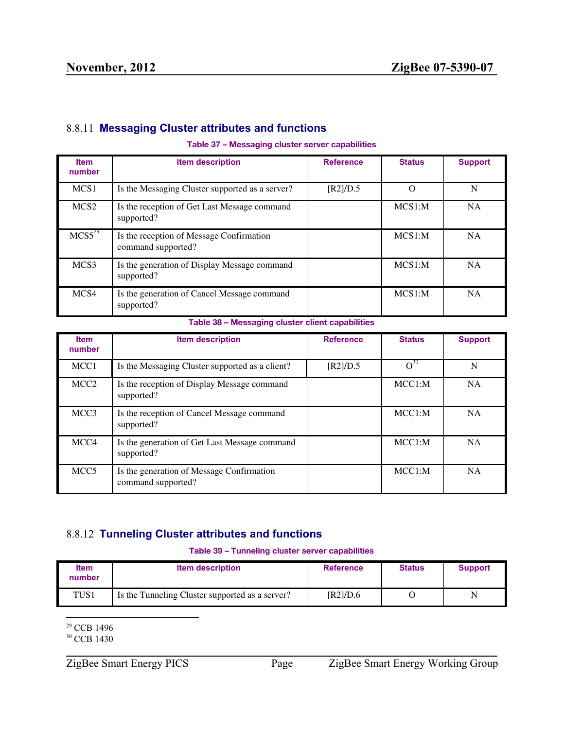# <span id="page-47-0"></span>8.8.11 **Messaging Cluster attributes and functions**

#### **Table 37 – Messaging cluster server capabilities**

| <b>Item</b><br>number          | Item description                                               | <b>Reference</b> | <b>Status</b> | <b>Support</b> |
|--------------------------------|----------------------------------------------------------------|------------------|---------------|----------------|
| MCS <sub>1</sub>               | Is the Messaging Cluster supported as a server?                | [R2]/D.5         | $\bigcap$     | N              |
| MCS <sub>2</sub>               | Is the reception of Get Last Message command<br>supported?     |                  | MCS1:M        | <b>NA</b>      |
| MCS <sub>5</sub> <sup>29</sup> | Is the reception of Message Confirmation<br>command supported? |                  | MCS1:M        | NA.            |
| MCS <sub>3</sub>               | Is the generation of Display Message command<br>supported?     |                  | MCS1:M        | <b>NA</b>      |
| MCS4                           | Is the generation of Cancel Message command<br>supported?      |                  | MCS1:M        | <b>NA</b>      |

**Table 38 – Messaging cluster client capabilities**

| <b>Item</b><br>number | <b>Item description</b>                                         | <b>Reference</b> | <b>Status</b> | <b>Support</b> |
|-----------------------|-----------------------------------------------------------------|------------------|---------------|----------------|
| MCC <sub>1</sub>      | Is the Messaging Cluster supported as a client?                 | [R2]/D.5         | $O^{30}$      | N              |
| MCC <sub>2</sub>      | Is the reception of Display Message command<br>supported?       |                  | MCC1:M        | <b>NA</b>      |
| MCC <sub>3</sub>      | Is the reception of Cancel Message command<br>supported?        |                  | MCC1: M       | <b>NA</b>      |
| MCC <sub>4</sub>      | Is the generation of Get Last Message command<br>supported?     |                  | MCC1:M        | <b>NA</b>      |
| MCC <sub>5</sub>      | Is the generation of Message Confirmation<br>command supported? |                  | MCC1:M        | <b>NA</b>      |

# <span id="page-47-1"></span>8.8.12 **Tunneling Cluster attributes and functions**

**Table 39 – Tunneling cluster server capabilities**

| <b>Item</b><br>number | <b>Item description</b>                         | <b>Reference</b> | <b>Status</b> | <b>Support</b> |
|-----------------------|-------------------------------------------------|------------------|---------------|----------------|
| TUS1                  | Is the Tunneling Cluster supported as a server? | [R2]/D.6         |               | N              |

<sup>29</sup> CCB 1496

<sup>30</sup> CCB 1430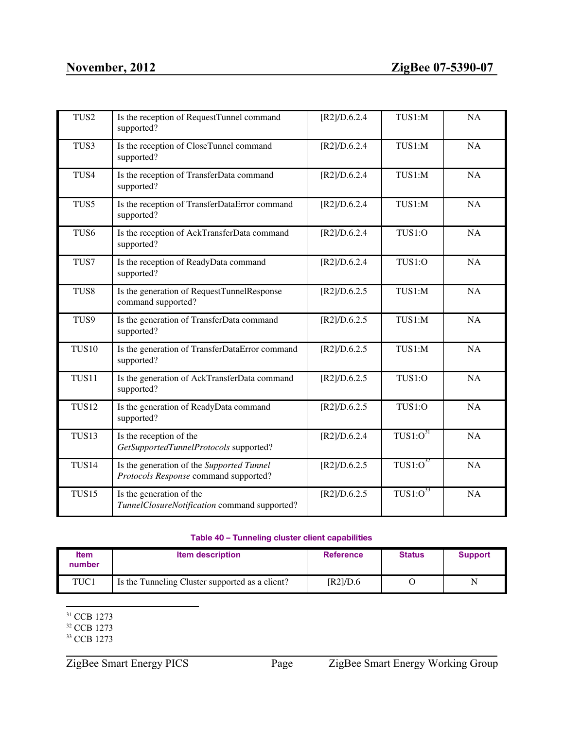| TUS <sub>2</sub>  | Is the reception of RequestTunnel command<br>supported?                            | [R2]/D.6.2.4 | TUS1:M                   | NA        |
|-------------------|------------------------------------------------------------------------------------|--------------|--------------------------|-----------|
| TUS3              | Is the reception of CloseTunnel command<br>supported?                              | [R2]/D.6.2.4 | TUS1:M                   | <b>NA</b> |
| TUS4              | Is the reception of TransferData command<br>supported?                             | [R2]/D.6.2.4 | TUS1:M                   | NA        |
| TUS5              | Is the reception of TransferDataError command<br>supported?                        | [R2]/D.6.2.4 | TUS1:M                   | NA        |
| TUS6              | Is the reception of AckTransferData command<br>supported?                          | [R2]/D.6.2.4 | TUS1:O                   | NA        |
| TUS7              | Is the reception of ReadyData command<br>supported?                                | [R2]/D.6.2.4 | TUS1:O                   | <b>NA</b> |
| TUS <sub>8</sub>  | Is the generation of RequestTunnelResponse<br>command supported?                   | [R2]/D.6.2.5 | TUS1:M                   | NA        |
| TUS9              | Is the generation of TransferData command<br>supported?                            | [R2]/D.6.2.5 | TUS1:M                   | NA        |
| <b>TUS10</b>      | Is the generation of TransferDataError command<br>supported?                       | [R2]/D.6.2.5 | TUS1:M                   | NA        |
| TUS11             | Is the generation of AckTransferData command<br>supported?                         | [R2]/D.6.2.5 | TUS1:O                   | NA        |
| <b>TUS12</b>      | Is the generation of ReadyData command<br>supported?                               | [R2]/D.6.2.5 | TUS1:O                   | NA        |
| TUS13             | Is the reception of the<br>GetSupportedTunnelProtocols supported?                  | [R2]/D.6.2.4 | TUS1:O <sup>31</sup>     | NA        |
| TUS <sub>14</sub> | Is the generation of the Supported Tunnel<br>Protocols Response command supported? | [R2]/D.6.2.5 | $TUS1:O^{32}$            | NA        |
| TUS15             | Is the generation of the<br>TunnelClosureNotification command supported?           | [R2]/D.6.2.5 | $T\overline{US1:O}^{33}$ | NA        |

#### **Table 40 – Tunneling cluster client capabilities**

| <b>Item</b><br>number | <b>Item description</b>                         | <b>Reference</b> | <b>Status</b> | <b>Support</b> |
|-----------------------|-------------------------------------------------|------------------|---------------|----------------|
| TUC1                  | Is the Tunneling Cluster supported as a client? | [R2]/D.6         |               | N              |

<sup>31</sup> CCB 1273

<sup>32</sup> CCB 1273

<sup>&</sup>lt;sup>33</sup> CCB 1273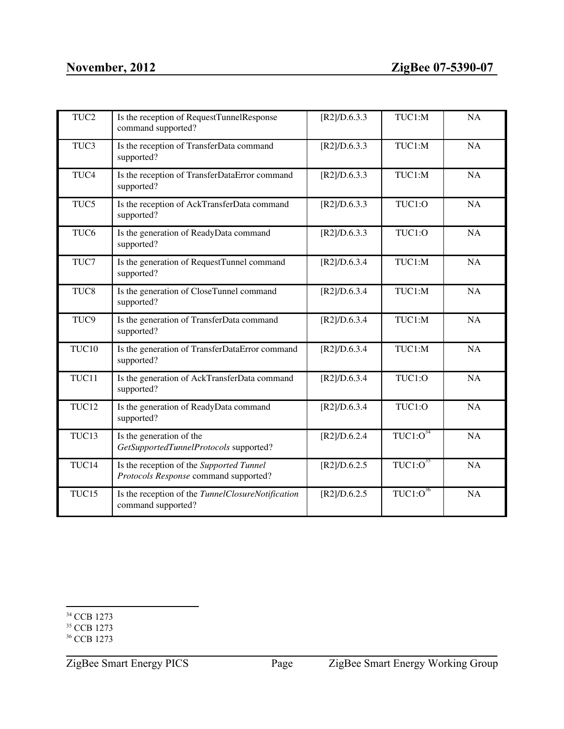| TUC <sub>2</sub> | Is the reception of RequestTunnelResponse<br>command supported?                   | [R2]/D.6.3.3 | TUC1:M               | NA        |
|------------------|-----------------------------------------------------------------------------------|--------------|----------------------|-----------|
| TUC3             | Is the reception of TransferData command<br>supported?                            | [R2]/D.6.3.3 | TUC1:M               | NA        |
| TUC <sub>4</sub> | Is the reception of TransferDataError command<br>supported?                       | [R2]/D.6.3.3 | TUC1:M               | NA        |
| TUC5             | Is the reception of AckTransferData command<br>supported?                         | [R2]/D.6.3.3 | TUC1:O               | NA        |
| TUC <sub>6</sub> | Is the generation of ReadyData command<br>supported?                              | [R2]/D.6.3.3 | TUC1:O               | <b>NA</b> |
| TUC7             | Is the generation of RequestTunnel command<br>supported?                          | [R2]/D.6.3.4 | TUC1:M               | NA        |
| TUC <sub>8</sub> | Is the generation of CloseTunnel command<br>supported?                            | [R2]/D.6.3.4 | TUC1:M               | NA        |
| TUC <sub>9</sub> | Is the generation of TransferData command<br>supported?                           | [R2]/D.6.3.4 | TUC1:M               | NA        |
| TUC10            | Is the generation of TransferDataError command<br>supported?                      | [R2]/D.6.3.4 | TUC1:M               | NA        |
| TUC11            | Is the generation of AckTransferData command<br>supported?                        | [R2]/D.6.3.4 | TUC1:O               | NA        |
| TUC12            | Is the generation of ReadyData command<br>supported?                              | [R2]/D.6.3.4 | TUC1:O               | NA        |
| TUC13            | Is the generation of the<br>GetSupportedTunnelProtocols supported?                | [R2]/D.6.2.4 | $TUC1:O^{34}$        | NA        |
| TUC14            | Is the reception of the Supported Tunnel<br>Protocols Response command supported? | [R2]/D.6.2.5 | TUC1:O <sup>35</sup> | NA        |
| TUC15            | Is the reception of the TunnelClosureNotification<br>command supported?           | [R2]/D.6.2.5 | $TUC1:0^{36}$        | NA        |

<sup>34</sup> CCB 1273

<sup>35</sup> CCB 1273

<sup>&</sup>lt;sup>36</sup> CCB 1273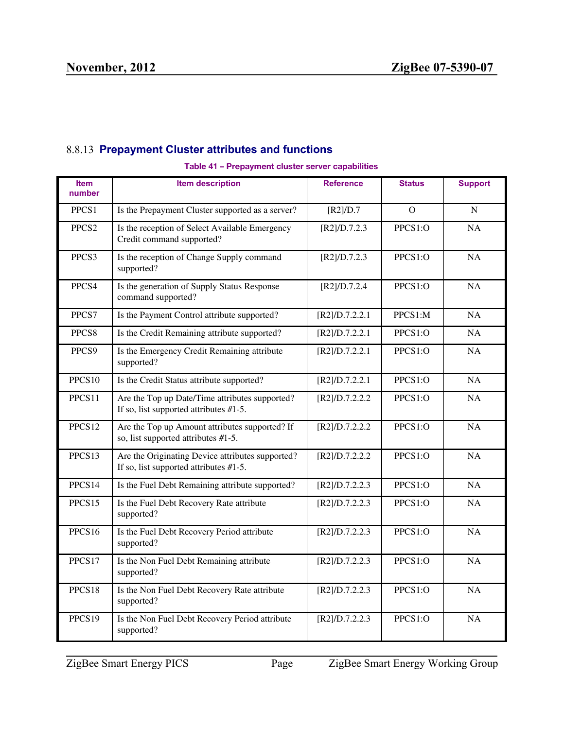# <span id="page-50-0"></span>8.8.13 **Prepayment Cluster attributes and functions**

#### **Table 41 – Prepayment cluster server capabilities**

| <b>Item</b><br>number | <b>Item description</b>                                                                       | <b>Reference</b>  | <b>Status</b>  | <b>Support</b> |
|-----------------------|-----------------------------------------------------------------------------------------------|-------------------|----------------|----------------|
| PPCS1                 | Is the Prepayment Cluster supported as a server?                                              | $[R2]/D.7$        | $\overline{O}$ | $\mathbf N$    |
| PPCS <sub>2</sub>     | Is the reception of Select Available Emergency<br>Credit command supported?                   | [R2]/D.7.2.3      | PPCS1:O        | <b>NA</b>      |
| PPCS3                 | Is the reception of Change Supply command<br>supported?                                       | [R2]/D.7.2.3      | PPCS1:O        | NA             |
| PPCS4                 | Is the generation of Supply Status Response<br>command supported?                             | [R2]/D.7.2.4      | PPCS1:O        | <b>NA</b>      |
| PPCS7                 | Is the Payment Control attribute supported?                                                   | [R2]/D.7.2.2.1    | PPCS1:M        | <b>NA</b>      |
| PPCS <sub>8</sub>     | Is the Credit Remaining attribute supported?                                                  | [R2]/D.7.2.2.1    | PPCS1:O        | <b>NA</b>      |
| PPCS9                 | Is the Emergency Credit Remaining attribute<br>supported?                                     | [R2]/D.7.2.2.1    | PPCS1:O        | <b>NA</b>      |
| PPCS10                | Is the Credit Status attribute supported?                                                     | [R2]/D.7.2.2.1    | PPCS1:O        | <b>NA</b>      |
| PPCS11                | Are the Top up Date/Time attributes supported?<br>If so, list supported attributes $#1-5$ .   | [R2]/D.7.2.2.2    | PPCS1:O        | NA             |
| PPCS12                | Are the Top up Amount attributes supported? If<br>so, list supported attributes #1-5.         | [R2]/D.7.2.2.2    | PPCS1:O        | NA             |
| PPCS13                | Are the Originating Device attributes supported?<br>If so, list supported attributes $#1-5$ . | [R2]/D.7.2.2.2    | PPCS1:O        | <b>NA</b>      |
| PPCS14                | Is the Fuel Debt Remaining attribute supported?                                               | [R2]/D.7.2.2.3    | PPCS1:O        | <b>NA</b>      |
| PPCS15                | Is the Fuel Debt Recovery Rate attribute<br>supported?                                        | [R2]/D.7.2.2.3    | PPCS1:O        | <b>NA</b>      |
| PPCS16                | Is the Fuel Debt Recovery Period attribute<br>supported?                                      | $[R2]$ /D.7.2.2.3 | PPCS1:O        | <b>NA</b>      |
| PPCS17                | Is the Non Fuel Debt Remaining attribute<br>supported?                                        | [R2]/D.7.2.2.3    | PPCS1:O        | <b>NA</b>      |
| PPCS18                | Is the Non Fuel Debt Recovery Rate attribute<br>supported?                                    | [R2]/D.7.2.2.3    | PPCS1:O        | <b>NA</b>      |
| PPCS19                | Is the Non Fuel Debt Recovery Period attribute<br>supported?                                  | [R2]/D.7.2.2.3    | PPCS1:O        | NA             |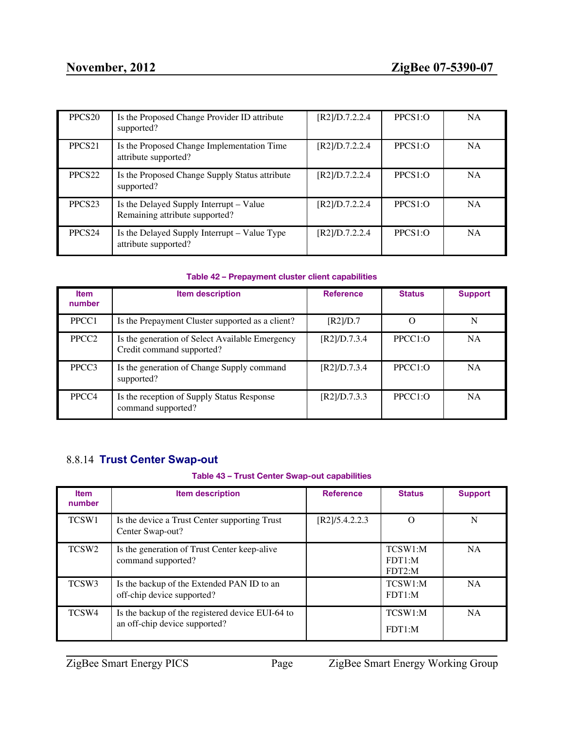| PPCS <sub>20</sub> | Is the Proposed Change Provider ID attribute<br>supported?                | [R2]/D.7.2.2.4 | PPCS1:O | <b>NA</b> |
|--------------------|---------------------------------------------------------------------------|----------------|---------|-----------|
| PPCS <sub>21</sub> | Is the Proposed Change Implementation Time<br>attribute supported?        | [R2]/D.7.2.2.4 | PPCS1:O | <b>NA</b> |
| PPCS <sub>22</sub> | Is the Proposed Change Supply Status attribute<br>supported?              | [R2]/D.7.2.2.4 | PPCS1:O | <b>NA</b> |
| PPCS <sub>23</sub> | Is the Delayed Supply Interrupt – Value<br>Remaining attribute supported? | [R2]/D.7.2.2.4 | PPCS1:O | NA.       |
| PPCS <sub>24</sub> | Is the Delayed Supply Interrupt – Value Type<br>attribute supported?      | [R2]/D.7.2.2.4 | PPCS1:O | <b>NA</b> |

#### **Table 42 – Prepayment cluster client capabilities**

| <b>Item</b><br>number | <b>Item description</b>                                                      | <b>Reference</b> | <b>Status</b> | <b>Support</b> |
|-----------------------|------------------------------------------------------------------------------|------------------|---------------|----------------|
| PPCC1                 | Is the Prepayment Cluster supported as a client?                             | $[R2]$ /D.7      | Ω             | N              |
| PPCC <sub>2</sub>     | Is the generation of Select Available Emergency<br>Credit command supported? | [R2]/D.7.3.4     | PPCC1:O       | <b>NA</b>      |
| PPCC <sub>3</sub>     | Is the generation of Change Supply command<br>supported?                     | [R2]/D.7.3.4     | PPCC1:O       | <b>NA</b>      |
| PPCC4                 | Is the reception of Supply Status Response<br>command supported?             | [R2]/D.7.3.3     | PPCC1:O       | <b>NA</b>      |

# <span id="page-51-0"></span>8.8.14 **Trust Center Swap-out**

#### **Table 43 – Trust Center Swap-out capabilities**

| <b>Item</b><br>number | <b>Item description</b>                                                           | <b>Reference</b> | <b>Status</b>               | <b>Support</b> |
|-----------------------|-----------------------------------------------------------------------------------|------------------|-----------------------------|----------------|
| TCSW1                 | Is the device a Trust Center supporting Trust<br>Center Swap-out?                 | [R2]/5.4.2.2.3   | ∩                           | N              |
| TCSW <sub>2</sub>     | Is the generation of Trust Center keep-alive<br>command supported?                |                  | TCSW1:M<br>FDT1·M<br>FDT2:M | <b>NA</b>      |
| TCSW <sub>3</sub>     | Is the backup of the Extended PAN ID to an<br>off-chip device supported?          |                  | TCSW1:M<br>FDT1:M           | <b>NA</b>      |
| TCSW <sub>4</sub>     | Is the backup of the registered device EUI-64 to<br>an off-chip device supported? |                  | TCSW1:M<br>FDT1:M           | <b>NA</b>      |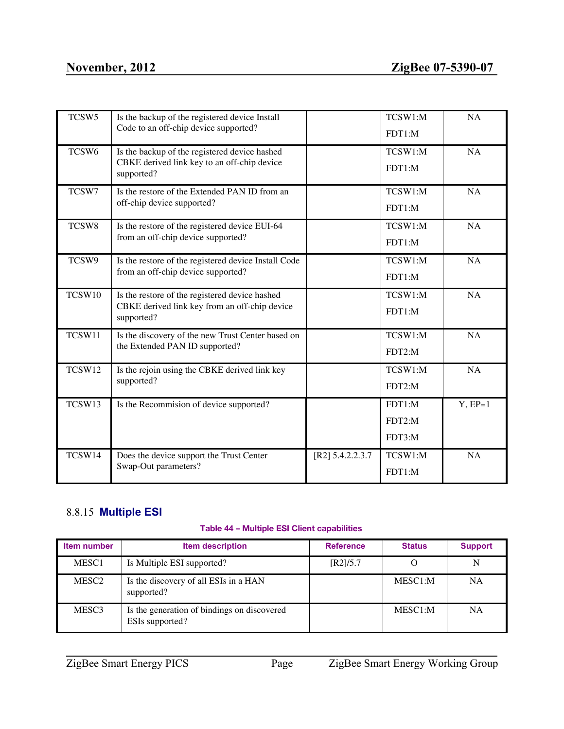| TCSW <sub>5</sub> | Is the backup of the registered device Install<br>Code to an off-chip device supported?                       |                    | TCSW1:M<br>FDT1:M          | <b>NA</b> |
|-------------------|---------------------------------------------------------------------------------------------------------------|--------------------|----------------------------|-----------|
| TCSW <sub>6</sub> | Is the backup of the registered device hashed<br>CBKE derived link key to an off-chip device<br>supported?    |                    | TCSW1:M<br>FDT1:M          | <b>NA</b> |
| TCSW7             | Is the restore of the Extended PAN ID from an<br>off-chip device supported?                                   |                    | TCSW1:M<br>FDT1:M          | NA        |
| TCSW8             | Is the restore of the registered device EUI-64<br>from an off-chip device supported?                          |                    | TCSW1:M<br>FDT1:M          | <b>NA</b> |
| TCSW9             | Is the restore of the registered device Install Code<br>from an off-chip device supported?                    |                    | TCSW1:M<br>FDT1:M          | <b>NA</b> |
| TCSW10            | Is the restore of the registered device hashed<br>CBKE derived link key from an off-chip device<br>supported? |                    | TCSW1:M<br>FDT1:M          | <b>NA</b> |
| TCSW11            | Is the discovery of the new Trust Center based on<br>the Extended PAN ID supported?                           |                    | TCSW1:M<br>FDT2:M          | NA        |
| TCSW12            | Is the rejoin using the CBKE derived link key<br>supported?                                                   |                    | TCSW1:M<br>FDT2:M          | <b>NA</b> |
| TCSW13            | Is the Recommision of device supported?                                                                       |                    | FDT1:M<br>FDT2:M<br>FDT3:M | $Y, EP=1$ |
| TCSW14            | Does the device support the Trust Center<br>Swap-Out parameters?                                              | $[R2]$ 5.4.2.2.3.7 | TCSW1:M<br>FDT1:M          | <b>NA</b> |

# <span id="page-52-0"></span>8.8.15 **Multiple ESI**

### **Table 44 – Multiple ESI Client capabilities**

| <b>Item number</b> | <b>Item description</b>                                        | <b>Reference</b> | <b>Status</b> | <b>Support</b> |
|--------------------|----------------------------------------------------------------|------------------|---------------|----------------|
| MESC1              | Is Multiple ESI supported?                                     | [R2]/5.7         |               |                |
| MESC <sub>2</sub>  | Is the discovery of all ESIs in a HAN<br>supported?            |                  | MESC1:M       | NA             |
| MESC <sub>3</sub>  | Is the generation of bindings on discovered<br>ESIs supported? |                  | MESC1:M       | NA             |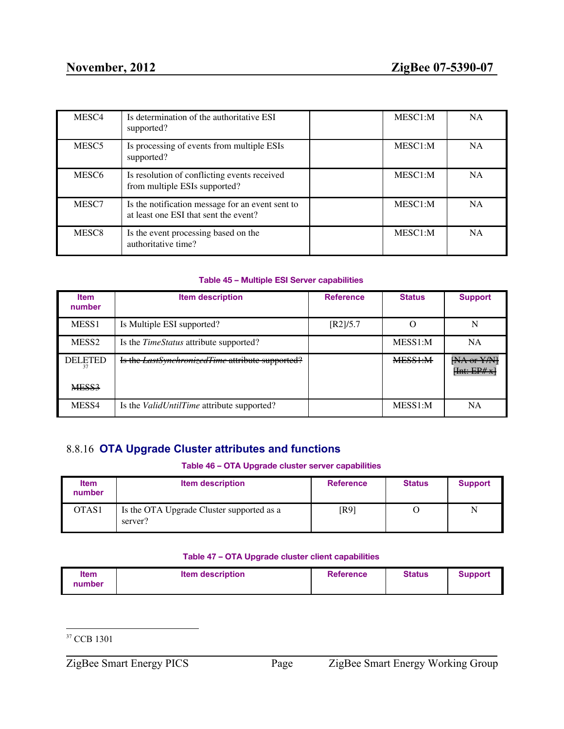| MESC <sub>4</sub> | Is determination of the authoritative ESI<br>supported?                                   | MESC1:M | <b>NA</b> |
|-------------------|-------------------------------------------------------------------------------------------|---------|-----------|
| MESC <sub>5</sub> | Is processing of events from multiple ESIs<br>supported?                                  | MESC1:M | <b>NA</b> |
| MESC <sub>6</sub> | Is resolution of conflicting events received<br>from multiple ESIs supported?             | MESC1:M | <b>NA</b> |
| MESC7             | Is the notification message for an event sent to<br>at least one ESI that sent the event? | MESC1:M | <b>NA</b> |
| MESC <sub>8</sub> | Is the event processing based on the<br>authoritative time?                               | MESC1:M | <b>NA</b> |

#### **Table 45 – Multiple ESI Server capabilities**

| <b>Item</b><br>number | <b>Item description</b>                           | <b>Reference</b> | <b>Status</b> | <b>Support</b>            |
|-----------------------|---------------------------------------------------|------------------|---------------|---------------------------|
| MESS <sub>1</sub>     | Is Multiple ESI supported?                        | [R2]/5.7         |               | N                         |
| MESS <sub>2</sub>     | Is the <i>TimeStatus</i> attribute supported?     |                  | MESS1:M       | NA                        |
| <b>DELETED</b>        | Is the LastSynchronizedTime attribute supported?  |                  | MESS1:M       | [NA or Y/N]<br>[Int:EP#x] |
| MESS3                 |                                                   |                  |               |                           |
| MESS4                 | Is the <i>ValidUntilTime</i> attribute supported? |                  | MESS1:M       | <b>NA</b>                 |

# <span id="page-53-0"></span>8.8.16 **OTA Upgrade Cluster attributes and functions**

#### **Table 46 – OTA Upgrade cluster server capabilities**

| <b>Item</b><br>number | <b>Item description</b>                              | <b>Reference</b> | <b>Status</b> | <b>Support</b> |
|-----------------------|------------------------------------------------------|------------------|---------------|----------------|
| OTAS1                 | Is the OTA Upgrade Cluster supported as a<br>server? | [R9]             |               | N              |

#### **Table 47 – OTA Upgrade cluster client capabilities**

| <b>Item</b> | <b>Item description</b> | <b>Reference</b> | <b>Status</b> | Support |
|-------------|-------------------------|------------------|---------------|---------|
| number      |                         |                  |               |         |

<sup>37</sup> CCB 1301